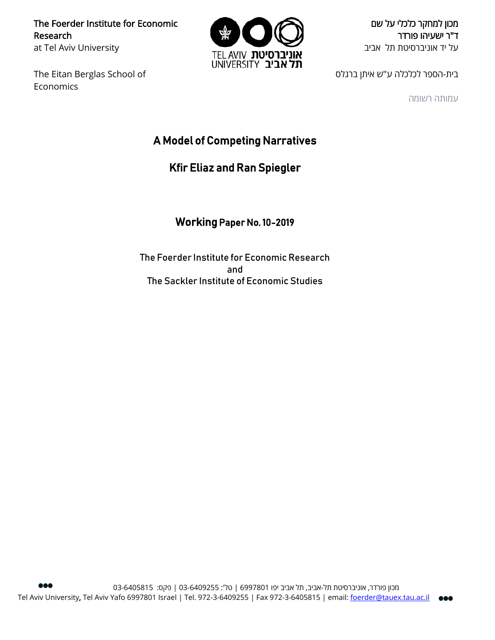The Foerder Institute for Economic Research at Tel Aviv University

The Eitan Berglas School of Economics



מכון למחקר כלכלי על שם ד"ר ישעיהו פורדר על יד אוניברסיטת תל אביב

בית-הספר לכלכלה ע"ש איתן ברגלס

עמותה רשומה

# A Model of Competing Narratives

# Kfir Eliaz and Ran Spiegler

### Working Paper No. 10-2019

The Foerder Institute for Economic Research and The Sackler Institute of Economic Studies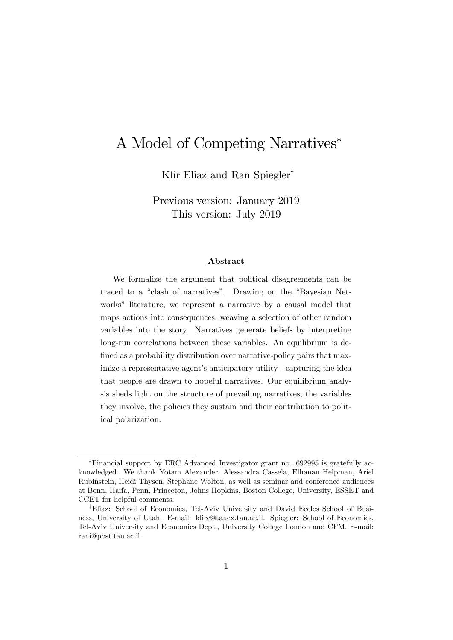# A Model of Competing Narratives

Kfir Eliaz and Ran Spiegler<sup>†</sup>

Previous version: January 2019 This version: July 2019

#### Abstract

We formalize the argument that political disagreements can be traced to a "clash of narratives". Drawing on the "Bayesian Networks" literature, we represent a narrative by a causal model that maps actions into consequences, weaving a selection of other random variables into the story. Narratives generate beliefs by interpreting long-run correlations between these variables. An equilibrium is defined as a probability distribution over narrative-policy pairs that maximize a representative agent's anticipatory utility - capturing the idea that people are drawn to hopeful narratives. Our equilibrium analysis sheds light on the structure of prevailing narratives, the variables they involve, the policies they sustain and their contribution to political polarization.

Financial support by ERC Advanced Investigator grant no. 692995 is gratefully acknowledged. We thank Yotam Alexander, Alessandra Cassela, Elhanan Helpman, Ariel Rubinstein, Heidi Thysen, Stephane Wolton, as well as seminar and conference audiences at Bonn, Haifa, Penn, Princeton, Johns Hopkins, Boston College, University, ESSET and CCET for helpful comments.

<sup>&</sup>lt;sup>†</sup>Eliaz: School of Economics, Tel-Aviv University and David Eccles School of Business, University of Utah. E-mail: kfire@tauex.tau.ac.il. Spiegler: School of Economics, Tel-Aviv University and Economics Dept., University College London and CFM. E-mail: rani@post.tau.ac.il.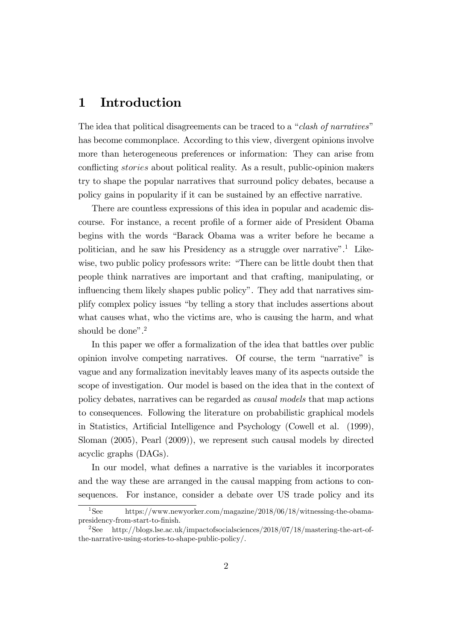## 1 Introduction

The idea that political disagreements can be traced to a "clash of narratives" has become commonplace. According to this view, divergent opinions involve more than heterogeneous preferences or information: They can arise from conflicting *stories* about political reality. As a result, public-opinion makers try to shape the popular narratives that surround policy debates, because a policy gains in popularity if it can be sustained by an effective narrative.

There are countless expressions of this idea in popular and academic discourse. For instance, a recent profile of a former aide of President Obama begins with the words "Barack Obama was a writer before he became a politician, and he saw his Presidency as a struggle over narrative".<sup>1</sup> Likewise, two public policy professors write: "There can be little doubt then that people think narratives are important and that crafting, manipulating, or influencing them likely shapes public policy". They add that narratives simplify complex policy issues "by telling a story that includes assertions about what causes what, who the victims are, who is causing the harm, and what should be done". $2$ 

In this paper we offer a formalization of the idea that battles over public opinion involve competing narratives. Of course, the term "narrative" is vague and any formalization inevitably leaves many of its aspects outside the scope of investigation. Our model is based on the idea that in the context of policy debates, narratives can be regarded as causal models that map actions to consequences. Following the literature on probabilistic graphical models in Statistics, Artificial Intelligence and Psychology (Cowell et al.  $(1999)$ , Sloman (2005), Pearl (2009)), we represent such causal models by directed acyclic graphs (DAGs).

In our model, what defines a narrative is the variables it incorporates and the way these are arranged in the causal mapping from actions to consequences. For instance, consider a debate over US trade policy and its

<sup>1</sup>See https://www.newyorker.com/magazine/2018/06/18/witnessing-the-obamapresidency-from-start-to-Önish.

<sup>2</sup>See http://blogs.lse.ac.uk/impactofsocialsciences/2018/07/18/mastering-the-art-ofthe-narrative-using-stories-to-shape-public-policy/.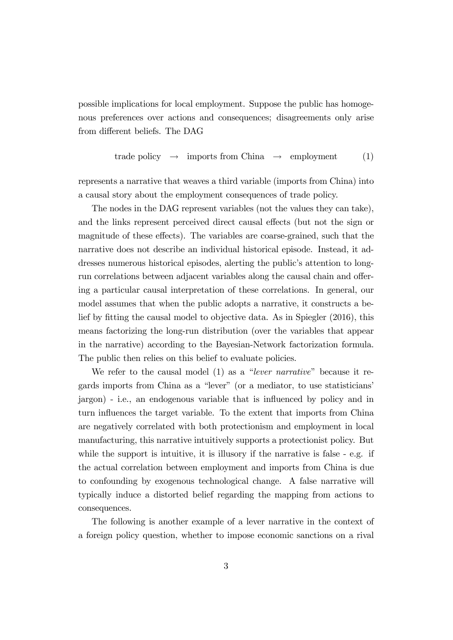possible implications for local employment. Suppose the public has homogenous preferences over actions and consequences; disagreements only arise from different beliefs. The DAG

$$
trade policy \rightarrow imports from China \rightarrow employment (1)
$$

represents a narrative that weaves a third variable (imports from China) into a causal story about the employment consequences of trade policy.

The nodes in the DAG represent variables (not the values they can take), and the links represent perceived direct causal effects (but not the sign or magnitude of these effects). The variables are coarse-grained, such that the narrative does not describe an individual historical episode. Instead, it addresses numerous historical episodes, alerting the public's attention to longrun correlations between adjacent variables along the causal chain and offering a particular causal interpretation of these correlations. In general, our model assumes that when the public adopts a narrative, it constructs a belief by fitting the causal model to objective data. As in Spiegler (2016), this means factorizing the long-run distribution (over the variables that appear in the narrative) according to the Bayesian-Network factorization formula. The public then relies on this belief to evaluate policies.

We refer to the causal model  $(1)$  as a "lever narrative" because it regards imports from China as a "lever" (or a mediator, to use statisticians' jargon) - i.e., an endogenous variable that is ináuenced by policy and in turn influences the target variable. To the extent that imports from China are negatively correlated with both protectionism and employment in local manufacturing, this narrative intuitively supports a protectionist policy. But while the support is intuitive, it is illusory if the narrative is false - e.g. if the actual correlation between employment and imports from China is due to confounding by exogenous technological change. A false narrative will typically induce a distorted belief regarding the mapping from actions to consequences.

The following is another example of a lever narrative in the context of a foreign policy question, whether to impose economic sanctions on a rival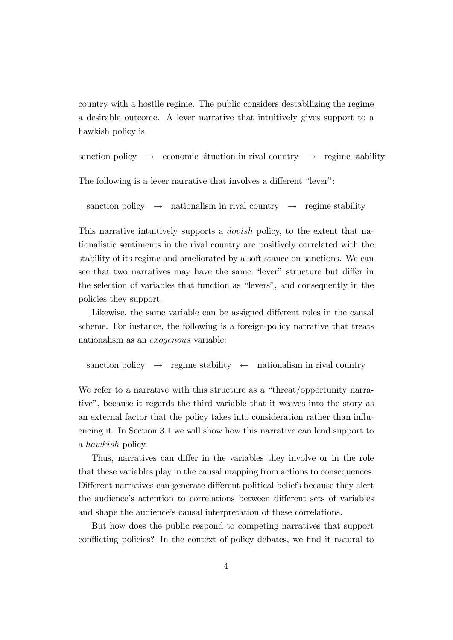country with a hostile regime. The public considers destabilizing the regime a desirable outcome. A lever narrative that intuitively gives support to a hawkish policy is

```
sanction policy \rightarrow economic situation in rival country \rightarrow regime stability
```
The following is a lever narrative that involves a different "lever":

sanction policy  $\rightarrow$  nationalism in rival country  $\rightarrow$  regime stability

This narrative intuitively supports a dovish policy, to the extent that nationalistic sentiments in the rival country are positively correlated with the stability of its regime and ameliorated by a soft stance on sanctions. We can see that two narratives may have the same "lever" structure but differ in the selection of variables that function as "levers", and consequently in the policies they support.

Likewise, the same variable can be assigned different roles in the causal scheme. For instance, the following is a foreign-policy narrative that treats nationalism as an exogenous variable:

```
sanction policy \rightarrow regime stability \leftarrow nationalism in rival country
```
We refer to a narrative with this structure as a "threat/opportunity narrativeî, because it regards the third variable that it weaves into the story as an external factor that the policy takes into consideration rather than influencing it. In Section 3.1 we will show how this narrative can lend support to a hawkish policy.

Thus, narratives can differ in the variables they involve or in the role that these variables play in the causal mapping from actions to consequences. Different narratives can generate different political beliefs because they alert the audience's attention to correlations between different sets of variables and shape the audience's causal interpretation of these correlations.

But how does the public respond to competing narratives that support conflicting policies? In the context of policy debates, we find it natural to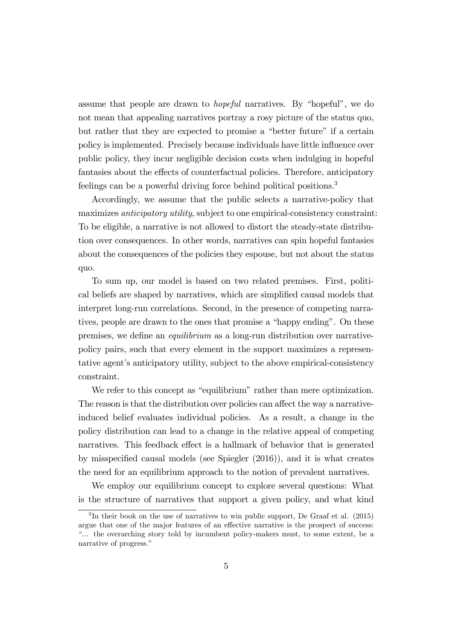assume that people are drawn to *hopeful* narratives. By "hopeful", we do not mean that appealing narratives portray a rosy picture of the status quo, but rather that they are expected to promise a "better future" if a certain policy is implemented. Precisely because individuals have little influence over public policy, they incur negligible decision costs when indulging in hopeful fantasies about the effects of counterfactual policies. Therefore, anticipatory feelings can be a powerful driving force behind political positions.<sup>3</sup>

Accordingly, we assume that the public selects a narrative-policy that maximizes *anticipatory utility*, subject to one empirical-consistency constraint: To be eligible, a narrative is not allowed to distort the steady-state distribution over consequences. In other words, narratives can spin hopeful fantasies about the consequences of the policies they espouse, but not about the status quo.

To sum up, our model is based on two related premises. First, political beliefs are shaped by narratives, which are simplified causal models that interpret long-run correlations. Second, in the presence of competing narratives, people are drawn to the ones that promise a "happy ending". On these premises, we define an *equilibrium* as a long-run distribution over narrativepolicy pairs, such that every element in the support maximizes a representative agent's anticipatory utility, subject to the above empirical-consistency constraint.

We refer to this concept as "equilibrium" rather than mere optimization. The reason is that the distribution over policies can affect the way a narrativeinduced belief evaluates individual policies. As a result, a change in the policy distribution can lead to a change in the relative appeal of competing narratives. This feedback effect is a hallmark of behavior that is generated by misspecified causal models (see Spiegler  $(2016)$ ), and it is what creates the need for an equilibrium approach to the notion of prevalent narratives.

We employ our equilibrium concept to explore several questions: What is the structure of narratives that support a given policy, and what kind

<sup>&</sup>lt;sup>3</sup>In their book on the use of narratives to win public support, De Graaf et al. (2015) argue that one of the major features of an effective narrative is the prospect of success: ì... the overarching story told by incumbent policy-makers must, to some extent, be a narrative of progress."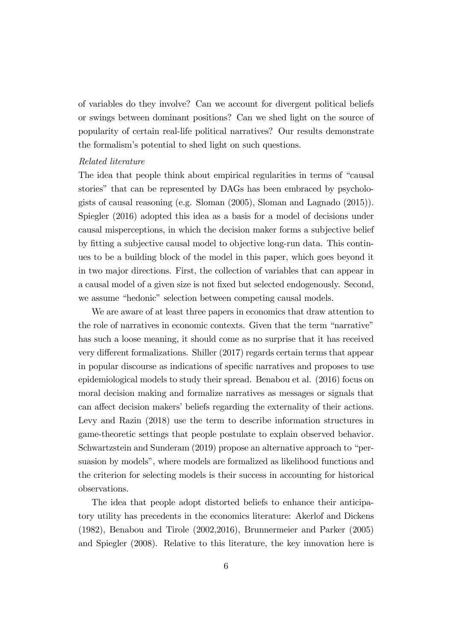of variables do they involve? Can we account for divergent political beliefs or swings between dominant positions? Can we shed light on the source of popularity of certain real-life political narratives? Our results demonstrate the formalism's potential to shed light on such questions.

#### Related literature

The idea that people think about empirical regularities in terms of "causal" storiesî that can be represented by DAGs has been embraced by psychologists of causal reasoning (e.g. Sloman (2005), Sloman and Lagnado (2015)). Spiegler (2016) adopted this idea as a basis for a model of decisions under causal misperceptions, in which the decision maker forms a subjective belief by Ötting a subjective causal model to objective long-run data. This continues to be a building block of the model in this paper, which goes beyond it in two major directions. First, the collection of variables that can appear in a causal model of a given size is not fixed but selected endogenously. Second, we assume "hedonic" selection between competing causal models.

We are aware of at least three papers in economics that draw attention to the role of narratives in economic contexts. Given that the term "narrative" has such a loose meaning, it should come as no surprise that it has received very different formalizations. Shiller (2017) regards certain terms that appear in popular discourse as indications of specific narratives and proposes to use epidemiological models to study their spread. Benabou et al. (2016) focus on moral decision making and formalize narratives as messages or signals that can affect decision makers' beliefs regarding the externality of their actions. Levy and Razin (2018) use the term to describe information structures in game-theoretic settings that people postulate to explain observed behavior. Schwartzstein and Sunderam  $(2019)$  propose an alternative approach to "persuasion by models", where models are formalized as likelihood functions and the criterion for selecting models is their success in accounting for historical observations.

The idea that people adopt distorted beliefs to enhance their anticipatory utility has precedents in the economics literature: Akerlof and Dickens (1982), Benabou and Tirole (2002,2016), Brunnermeier and Parker (2005) and Spiegler (2008). Relative to this literature, the key innovation here is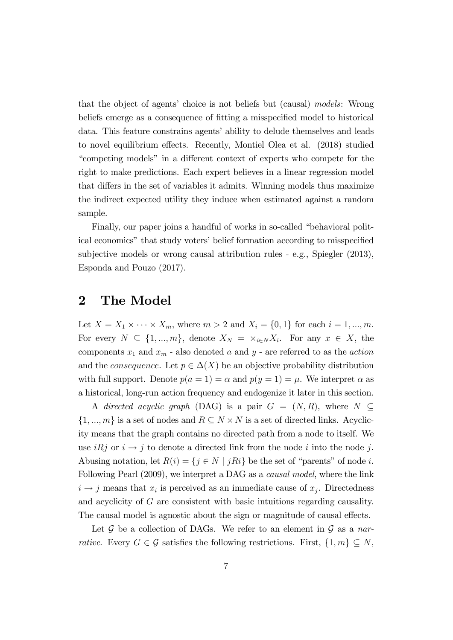that the object of agents' choice is not beliefs but (causal) models: Wrong beliefs emerge as a consequence of fitting a misspecified model to historical data. This feature constrains agents' ability to delude themselves and leads to novel equilibrium effects. Recently, Montiel Olea et al. (2018) studied ìcompeting modelsî in a di§erent context of experts who compete for the right to make predictions. Each expert believes in a linear regression model that differs in the set of variables it admits. Winning models thus maximize the indirect expected utility they induce when estimated against a random sample.

Finally, our paper joins a handful of works in so-called "behavioral political economics" that study voters' belief formation according to misspecified subjective models or wrong causal attribution rules - e.g., Spiegler (2013), Esponda and Pouzo (2017).

### 2 The Model

Let  $X = X_1 \times \cdots \times X_m$ , where  $m > 2$  and  $X_i = \{0, 1\}$  for each  $i = 1, ..., m$ . For every  $N \subseteq \{1, ..., m\}$ , denote  $X_N = \times_{i \in N} X_i$ . For any  $x \in X$ , the components  $x_1$  and  $x_m$  - also denoted a and  $y$  - are referred to as the action and the *consequence*. Let  $p \in \Delta(X)$  be an objective probability distribution with full support. Denote  $p(a = 1) = \alpha$  and  $p(y = 1) = \mu$ . We interpret  $\alpha$  as a historical, long-run action frequency and endogenize it later in this section.

A directed acyclic graph (DAG) is a pair  $G = (N, R)$ , where  $N \subseteq$  $\{1, ..., m\}$  is a set of nodes and  $R \subseteq N \times N$  is a set of directed links. Acyclicity means that the graph contains no directed path from a node to itself. We use  $iRj$  or  $i \rightarrow j$  to denote a directed link from the node i into the node j. Abusing notation, let  $R(i) = \{j \in N \mid jRi\}$  be the set of "parents" of node i. Following Pearl (2009), we interpret a DAG as a *causal model*, where the link  $i \rightarrow j$  means that  $x_i$  is perceived as an immediate cause of  $x_j$ . Directedness and acyclicity of G are consistent with basic intuitions regarding causality. The causal model is agnostic about the sign or magnitude of causal effects.

Let  $\mathcal G$  be a collection of DAGs. We refer to an element in  $\mathcal G$  as a narrative. Every  $G \in \mathcal{G}$  satisfies the following restrictions. First,  $\{1,m\} \subseteq N$ ,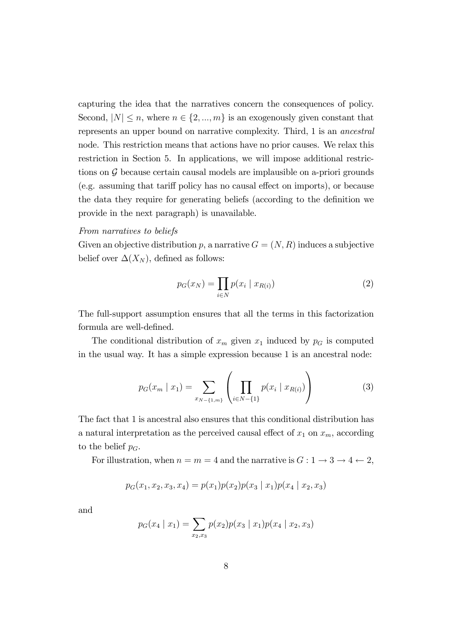capturing the idea that the narratives concern the consequences of policy. Second,  $|N| \leq n$ , where  $n \in \{2, ..., m\}$  is an exogenously given constant that represents an upper bound on narrative complexity. Third, 1 is an ancestral node. This restriction means that actions have no prior causes. We relax this restriction in Section 5. In applications, we will impose additional restrictions on  $G$  because certain causal models are implausible on a-priori grounds (e.g. assuming that tariff policy has no causal effect on imports), or because the data they require for generating beliefs (according to the definition we provide in the next paragraph) is unavailable.

#### From narratives to beliefs

Given an objective distribution p, a narrative  $G = (N, R)$  induces a subjective belief over  $\Delta(X_N)$ , defined as follows:

$$
p_G(x_N) = \prod_{i \in N} p(x_i \mid x_{R(i)}) \tag{2}
$$

The full-support assumption ensures that all the terms in this factorization formula are well-defined.

The conditional distribution of  $x_m$  given  $x_1$  induced by  $p<sub>G</sub>$  is computed in the usual way. It has a simple expression because 1 is an ancestral node:

$$
p_G(x_m \mid x_1) = \sum_{x_{N-\{1,m\}}} \left( \prod_{i \in N-\{1\}} p(x_i \mid x_{R(i)}) \right) \tag{3}
$$

The fact that 1 is ancestral also ensures that this conditional distribution has a natural interpretation as the perceived causal effect of  $x_1$  on  $x_m$ , according to the belief  $p_G$ .

For illustration, when  $n = m = 4$  and the narrative is  $G: 1 \rightarrow 3 \rightarrow 4 \leftarrow 2$ ,

$$
p_G(x_1, x_2, x_3, x_4) = p(x_1)p(x_2)p(x_3 | x_1)p(x_4 | x_2, x_3)
$$

and

$$
p_G(x_4 | x_1) = \sum_{x_2, x_3} p(x_2) p(x_3 | x_1) p(x_4 | x_2, x_3)
$$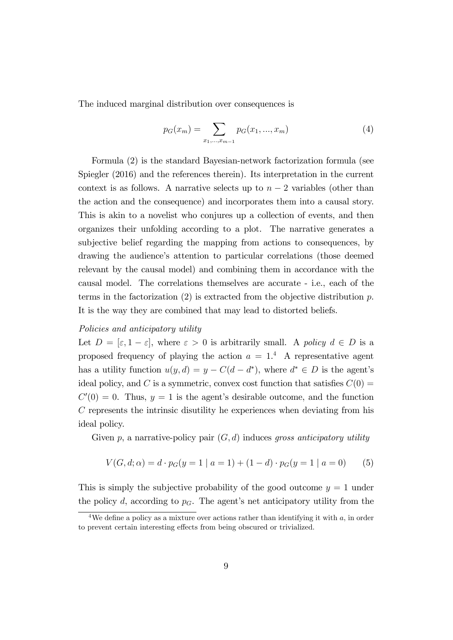The induced marginal distribution over consequences is

$$
p_G(x_m) = \sum_{x_1, \dots, x_{m-1}} p_G(x_1, \dots, x_m)
$$
 (4)

Formula (2) is the standard Bayesian-network factorization formula (see Spiegler (2016) and the references therein). Its interpretation in the current context is as follows. A narrative selects up to  $n-2$  variables (other than the action and the consequence) and incorporates them into a causal story. This is akin to a novelist who conjures up a collection of events, and then organizes their unfolding according to a plot. The narrative generates a subjective belief regarding the mapping from actions to consequences, by drawing the audience's attention to particular correlations (those deemed relevant by the causal model) and combining them in accordance with the causal model. The correlations themselves are accurate - i.e., each of the terms in the factorization  $(2)$  is extracted from the objective distribution p. It is the way they are combined that may lead to distorted beliefs.

#### Policies and anticipatory utility

Let  $D = [\varepsilon, 1 - \varepsilon]$ , where  $\varepsilon > 0$  is arbitrarily small. A policy  $d \in D$  is a proposed frequency of playing the action  $a = 1<sup>4</sup>$ . A representative agent has a utility function  $u(y, d) = y - C(d - d^*)$ , where  $d^* \in D$  is the agent's ideal policy, and C is a symmetric, convex cost function that satisfies  $C(0)$  =  $C'(0) = 0$ . Thus,  $y = 1$  is the agent's desirable outcome, and the function C represents the intrinsic disutility he experiences when deviating from his ideal policy.

Given p, a narrative-policy pair  $(G, d)$  induces gross anticipatory utility

$$
V(G, d; \alpha) = d \cdot p_G(y = 1 | a = 1) + (1 - d) \cdot p_G(y = 1 | a = 0)
$$
 (5)

This is simply the subjective probability of the good outcome  $y = 1$  under the policy d, according to  $p<sub>G</sub>$ . The agent's net anticipatory utility from the

<sup>&</sup>lt;sup>4</sup>We define a policy as a mixture over actions rather than identifying it with  $a$ , in order to prevent certain interesting effects from being obscured or trivialized.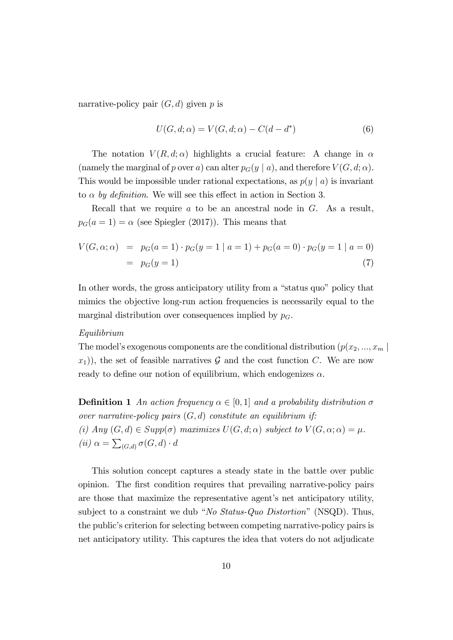narrative-policy pair  $(G, d)$  given p is

$$
U(G, d; \alpha) = V(G, d; \alpha) - C(d - d^*)
$$
\n<sup>(6)</sup>

The notation  $V(R, d; \alpha)$  highlights a crucial feature: A change in  $\alpha$ (namely the marginal of p over a) can alter  $p_G(y \mid a)$ , and therefore  $V(G, d; \alpha)$ . This would be impossible under rational expectations, as  $p(y \mid a)$  is invariant to  $\alpha$  by definition. We will see this effect in action in Section 3.

Recall that we require  $a$  to be an ancestral node in  $G$ . As a result,  $p_G(a = 1) = \alpha$  (see Spiegler (2017)). This means that

$$
V(G, \alpha; \alpha) = p_G(a = 1) \cdot p_G(y = 1 | a = 1) + p_G(a = 0) \cdot p_G(y = 1 | a = 0)
$$
  
=  $p_G(y = 1)$  (7)

In other words, the gross anticipatory utility from a "status quo" policy that mimics the objective long-run action frequencies is necessarily equal to the marginal distribution over consequences implied by  $p_G$ .

#### Equilibrium

The model's exogenous components are the conditional distribution  $(p(x_2, ..., x_m))$  $(x_1)$ , the set of feasible narratives  $\mathcal G$  and the cost function C. We are now ready to define our notion of equilibrium, which endogenizes  $\alpha$ .

**Definition 1** An action frequency  $\alpha \in [0, 1]$  and a probability distribution  $\sigma$ over narrative-policy pairs  $(G, d)$  constitute an equilibrium if: (i) Any  $(G, d) \in Supp(\sigma)$  maximizes  $U(G, d; \alpha)$  subject to  $V(G, \alpha; \alpha) = \mu$ . (ii)  $\alpha = \sum_{(G,d)} \sigma(G,d) \cdot d$ 

This solution concept captures a steady state in the battle over public opinion. The Örst condition requires that prevailing narrative-policy pairs are those that maximize the representative agent's net anticipatory utility, subject to a constraint we dub "No Status-Quo Distortion" (NSQD). Thus, the public's criterion for selecting between competing narrative-policy pairs is net anticipatory utility. This captures the idea that voters do not adjudicate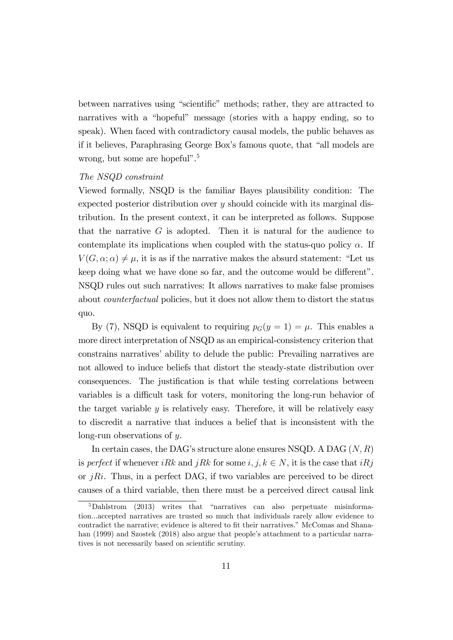between narratives using "scientific" methods; rather, they are attracted to narratives with a "hopeful" message (stories with a happy ending, so to speak). When faced with contradictory causal models, the public behaves as if it believes, Paraphrasing George Box's famous quote, that "all models are wrong, but some are hopeful<sup> $"$ .5</sup>

#### The NSQD constraint

Viewed formally, NSQD is the familiar Bayes plausibility condition: The expected posterior distribution over y should coincide with its marginal distribution. In the present context, it can be interpreted as follows. Suppose that the narrative  $G$  is adopted. Then it is natural for the audience to contemplate its implications when coupled with the status-quo policy  $\alpha$ . If  $V(G, \alpha; \alpha) \neq \mu$ , it is as if the narrative makes the absurd statement: "Let us keep doing what we have done so far, and the outcome would be different". NSQD rules out such narratives: It allows narratives to make false promises about counterfactual policies, but it does not allow them to distort the status quo.

By (7), NSQD is equivalent to requiring  $p_G(y = 1) = \mu$ . This enables a more direct interpretation of NSQD as an empirical-consistency criterion that constrains narratives' ability to delude the public: Prevailing narratives are not allowed to induce beliefs that distort the steady-state distribution over consequences. The justification is that while testing correlations between variables is a difficult task for voters, monitoring the long-run behavior of the target variable  $y$  is relatively easy. Therefore, it will be relatively easy to discredit a narrative that induces a belief that is inconsistent with the long-run observations of y.

In certain cases, the DAG's structure alone ensures NSQD. A DAG  $(N, R)$ is perfect if whenever iRk and jRk for some i, j,  $k \in N$ , it is the case that iRj or  $jRi$ . Thus, in a perfect DAG, if two variables are perceived to be direct causes of a third variable, then there must be a perceived direct causal link

 $5Dahlstrom$  (2013) writes that "narratives can also perpetuate misinformation...accepted narratives are trusted so much that individuals rarely allow evidence to contradict the narrative; evidence is altered to fit their narratives." McComas and Shanahan (1999) and Szostek (2018) also argue that people's attachment to a particular narratives is not necessarily based on scientific scrutiny.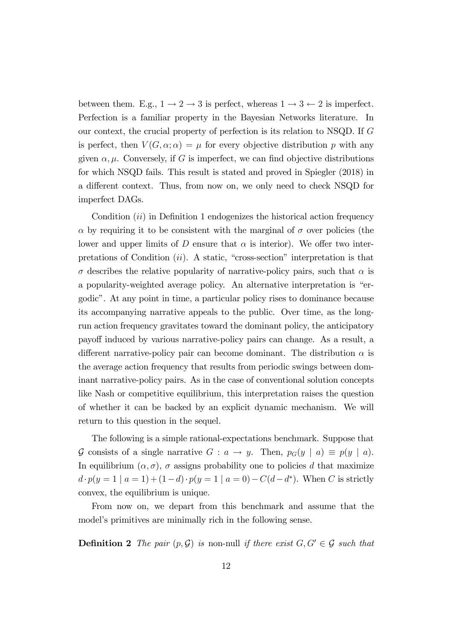between them. E.g.,  $1 \rightarrow 2 \rightarrow 3$  is perfect, whereas  $1 \rightarrow 3 \leftarrow 2$  is imperfect. Perfection is a familiar property in the Bayesian Networks literature. In our context, the crucial property of perfection is its relation to NSQD. If G is perfect, then  $V(G, \alpha; \alpha) = \mu$  for every objective distribution p with any given  $\alpha, \mu$ . Conversely, if G is imperfect, we can find objective distributions for which NSQD fails. This result is stated and proved in Spiegler (2018) in a different context. Thus, from now on, we only need to check NSQD for imperfect DAGs.

Condition  $(ii)$  in Definition 1 endogenizes the historical action frequency  $\alpha$  by requiring it to be consistent with the marginal of  $\sigma$  over policies (the lower and upper limits of D ensure that  $\alpha$  is interior). We offer two interpretations of Condition  $(ii)$ . A static, "cross-section" interpretation is that  $\sigma$  describes the relative popularity of narrative-policy pairs, such that  $\alpha$  is a popularity-weighted average policy. An alternative interpretation is "ergodicî. At any point in time, a particular policy rises to dominance because its accompanying narrative appeals to the public. Over time, as the longrun action frequency gravitates toward the dominant policy, the anticipatory payoff induced by various narrative-policy pairs can change. As a result, a different narrative-policy pair can become dominant. The distribution  $\alpha$  is the average action frequency that results from periodic swings between dominant narrative-policy pairs. As in the case of conventional solution concepts like Nash or competitive equilibrium, this interpretation raises the question of whether it can be backed by an explicit dynamic mechanism. We will return to this question in the sequel.

The following is a simple rational-expectations benchmark. Suppose that G consists of a single narrative  $G : a \to y$ . Then,  $p_G(y \mid a) \equiv p(y \mid a)$ . In equilibrium  $(\alpha, \sigma)$ ,  $\sigma$  assigns probability one to policies d that maximize  $d \cdot p(y = 1 | a = 1) + (1 - d) \cdot p(y = 1 | a = 0) - C(d - d^*)$ . When C is strictly convex, the equilibrium is unique.

From now on, we depart from this benchmark and assume that the model's primitives are minimally rich in the following sense.

**Definition 2** The pair  $(p, \mathcal{G})$  is non-null if there exist  $G, G' \in \mathcal{G}$  such that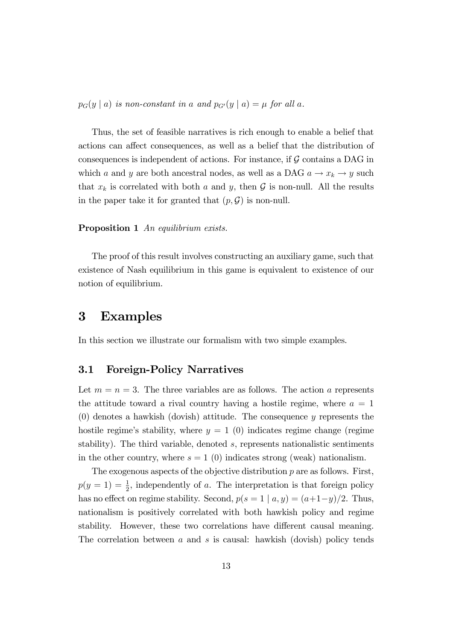$p_G(y \mid a)$  is non-constant in a and  $p_{G'}(y \mid a) = \mu$  for all a.

Thus, the set of feasible narratives is rich enough to enable a belief that actions can affect consequences, as well as a belief that the distribution of consequences is independent of actions. For instance, if  $\mathcal G$  contains a DAG in which a and y are both ancestral nodes, as well as a DAG  $a \rightarrow x_k \rightarrow y$  such that  $x_k$  is correlated with both a and y, then  $\mathcal G$  is non-null. All the results in the paper take it for granted that  $(p, \mathcal{G})$  is non-null.

#### Proposition 1 An equilibrium exists.

The proof of this result involves constructing an auxiliary game, such that existence of Nash equilibrium in this game is equivalent to existence of our notion of equilibrium.

## 3 Examples

In this section we illustrate our formalism with two simple examples.

### 3.1 Foreign-Policy Narratives

Let  $m = n = 3$ . The three variables are as follows. The action a represents the attitude toward a rival country having a hostile regime, where  $a = 1$  $(0)$  denotes a hawkish (dovish) attitude. The consequence y represents the hostile regime's stability, where  $y = 1$  (0) indicates regime change (regime stability). The third variable, denoted s, represents nationalistic sentiments in the other country, where  $s = 1$  (0) indicates strong (weak) nationalism.

The exogenous aspects of the objective distribution  $p$  are as follows. First,  $p(y = 1) = \frac{1}{2}$ , independently of a. The interpretation is that foreign policy has no effect on regime stability. Second,  $p(s = 1 | a, y) = (a+1-y)/2$ . Thus, nationalism is positively correlated with both hawkish policy and regime stability. However, these two correlations have different causal meaning. The correlation between  $a$  and  $s$  is causal: hawkish (dovish) policy tends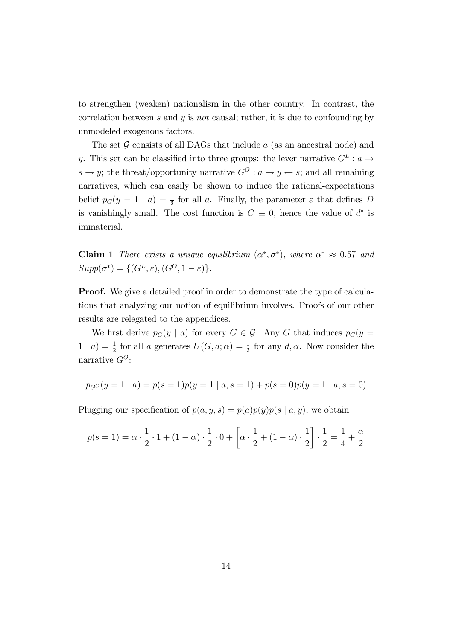to strengthen (weaken) nationalism in the other country. In contrast, the correlation between s and y is not causal; rather, it is due to confounding by unmodeled exogenous factors.

The set  $G$  consists of all DAGs that include  $a$  (as an ancestral node) and y. This set can be classified into three groups: the lever narrative  $G^L: a \to a$  $s \to y$ ; the threat/opportunity narrative  $G^O: a \to y \leftarrow s$ ; and all remaining narratives, which can easily be shown to induce the rational-expectations belief  $p_G(y = 1 | a) = \frac{1}{2}$  for all a. Finally, the parameter  $\varepsilon$  that defines D is vanishingly small. The cost function is  $C \equiv 0$ , hence the value of  $d^*$  is immaterial.

**Claim 1** There exists a unique equilibrium  $(\alpha^*, \sigma^*)$ , where  $\alpha^* \approx 0.57$  and  $Supp(\sigma^*) = \{(G^L, \varepsilon), (G^O, 1 - \varepsilon)\}.$ 

**Proof.** We give a detailed proof in order to demonstrate the type of calculations that analyzing our notion of equilibrium involves. Proofs of our other results are relegated to the appendices.

We first derive  $p_G(y \mid a)$  for every  $G \in \mathcal{G}$ . Any G that induces  $p_G(y =$  $1 | a$ ) =  $\frac{1}{2}$  for all a generates  $U(G, d; \alpha) = \frac{1}{2}$  for any  $d, \alpha$ . Now consider the narrative  $G^O$ :

$$
p_{G}o(y = 1 | a) = p(s = 1)p(y = 1 | a, s = 1) + p(s = 0)p(y = 1 | a, s = 0)
$$

Plugging our specification of  $p(a, y, s) = p(a)p(y)p(s | a, y)$ , we obtain

$$
p(s = 1) = \alpha \cdot \frac{1}{2} \cdot 1 + (1 - \alpha) \cdot \frac{1}{2} \cdot 0 + \left[ \alpha \cdot \frac{1}{2} + (1 - \alpha) \cdot \frac{1}{2} \right] \cdot \frac{1}{2} = \frac{1}{4} + \frac{\alpha}{2}
$$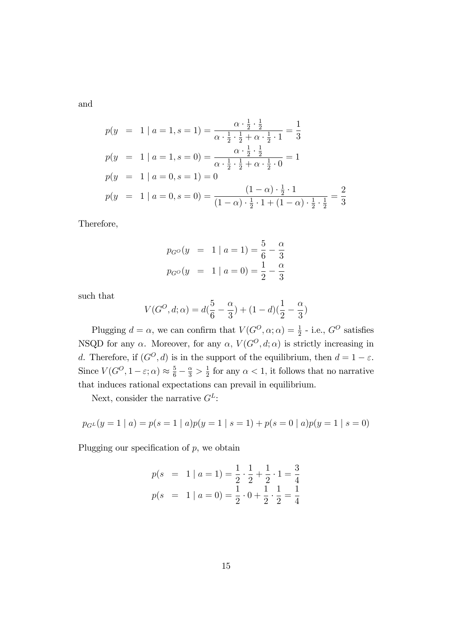and

$$
p(y = 1 | a = 1, s = 1) = \frac{\alpha \cdot \frac{1}{2} \cdot \frac{1}{2}}{\alpha \cdot \frac{1}{2} \cdot \frac{1}{2} + \alpha \cdot \frac{1}{2} \cdot 1} = \frac{1}{3}
$$
  
\n
$$
p(y = 1 | a = 1, s = 0) = \frac{\alpha \cdot \frac{1}{2} \cdot \frac{1}{2}}{\alpha \cdot \frac{1}{2} \cdot \frac{1}{2} + \alpha \cdot \frac{1}{2} \cdot 0} = 1
$$
  
\n
$$
p(y = 1 | a = 0, s = 1) = 0
$$
  
\n
$$
p(y = 1 | a = 0, s = 0) = \frac{(1 - \alpha) \cdot \frac{1}{2} \cdot 1}{(1 - \alpha) \cdot \frac{1}{2} \cdot 1 + (1 - \alpha) \cdot \frac{1}{2} \cdot \frac{1}{2}} = \frac{2}{3}
$$

Therefore,

$$
p_{G}o(y = 1 | a = 1) = \frac{5}{6} - \frac{\alpha}{3}
$$
  

$$
p_{G}o(y = 1 | a = 0) = \frac{1}{2} - \frac{\alpha}{3}
$$

such that

$$
V(G^O, d; \alpha) = d(\frac{5}{6} - \frac{\alpha}{3}) + (1 - d)(\frac{1}{2} - \frac{\alpha}{3})
$$

Plugging  $d = \alpha$ , we can confirm that  $V(G^O, \alpha; \alpha) = \frac{1}{2}$  - i.e.,  $G^O$  satisfies NSQD for any  $\alpha$ . Moreover, for any  $\alpha$ ,  $V(G^O, d; \alpha)$  is strictly increasing in d. Therefore, if  $(G^O, d)$  is in the support of the equilibrium, then  $d = 1 - \varepsilon$ . Since  $V(G^O, 1-\varepsilon; \alpha) \approx \frac{5}{6} - \frac{\alpha}{3} > \frac{1}{2}$  $\frac{1}{2}$  for any  $\alpha < 1$ , it follows that no narrative that induces rational expectations can prevail in equilibrium.

Next, consider the narrative  $G^L$ :

$$
p_{G}(\mathbf{y} = 1 | a) = p(s = 1 | a)p(\mathbf{y} = 1 | s = 1) + p(s = 0 | a)p(\mathbf{y} = 1 | s = 0)
$$

Plugging our specification of  $p$ , we obtain

$$
p(s = 1 | a = 1) = \frac{1}{2} \cdot \frac{1}{2} + \frac{1}{2} \cdot 1 = \frac{3}{4}
$$
  

$$
p(s = 1 | a = 0) = \frac{1}{2} \cdot 0 + \frac{1}{2} \cdot \frac{1}{2} = \frac{1}{4}
$$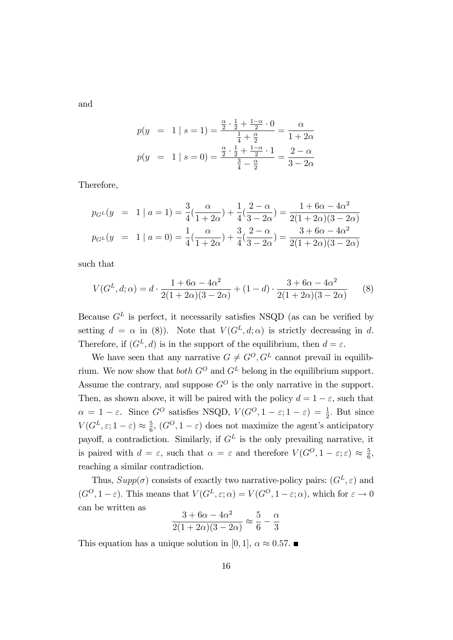and

$$
p(y = 1 | s = 1) = \frac{\frac{\alpha}{2} \cdot \frac{1}{2} + \frac{1 - \alpha}{2} \cdot 0}{\frac{1}{4} + \frac{\alpha}{2}} = \frac{\alpha}{1 + 2\alpha}
$$
  

$$
p(y = 1 | s = 0) = \frac{\frac{\alpha}{2} \cdot \frac{1}{2} + \frac{1 - \alpha}{2} \cdot 1}{\frac{3}{4} - \frac{\alpha}{2}} = \frac{2 - \alpha}{3 - 2\alpha}
$$

Therefore,

$$
p_{G^L}(y = 1 | a = 1) = \frac{3}{4}(\frac{\alpha}{1+2\alpha}) + \frac{1}{4}(\frac{2-\alpha}{3-2\alpha}) = \frac{1+6\alpha-4\alpha^2}{2(1+2\alpha)(3-2\alpha)}
$$
  

$$
p_{G^L}(y = 1 | a = 0) = \frac{1}{4}(\frac{\alpha}{1+2\alpha}) + \frac{3}{4}(\frac{2-\alpha}{3-2\alpha}) = \frac{3+6\alpha-4\alpha^2}{2(1+2\alpha)(3-2\alpha)}
$$

such that

$$
V(GL, d; \alpha) = d \cdot \frac{1 + 6\alpha - 4\alpha^2}{2(1 + 2\alpha)(3 - 2\alpha)} + (1 - d) \cdot \frac{3 + 6\alpha - 4\alpha^2}{2(1 + 2\alpha)(3 - 2\alpha)}
$$
(8)

Because  $G<sup>L</sup>$  is perfect, it necessarily satisfies NSQD (as can be verified by setting  $d = \alpha$  in (8)). Note that  $V(G^L, d; \alpha)$  is strictly decreasing in d. Therefore, if  $(G^L, d)$  is in the support of the equilibrium, then  $d = \varepsilon$ .

We have seen that any narrative  $G \neq G^O, G^L$  cannot prevail in equilibrium. We now show that *both*  $G^O$  and  $G^L$  belong in the equilibrium support. Assume the contrary, and suppose  $G^O$  is the only narrative in the support. Then, as shown above, it will be paired with the policy  $d = 1 - \varepsilon$ , such that  $\alpha = 1 - \varepsilon$ . Since  $G^O$  satisfies NSQD,  $V(G^O, 1 - \varepsilon; 1 - \varepsilon) = \frac{1}{2}$ . But since  $V(G^L, \varepsilon; 1-\varepsilon) \approx \frac{5}{6}$  $\frac{5}{6}$ ,  $(G^O, 1 - \varepsilon)$  does not maximize the agent's anticipatory payoff, a contradiction. Similarly, if  $G<sup>L</sup>$  is the only prevailing narrative, it is paired with  $d = \varepsilon$ , such that  $\alpha = \varepsilon$  and therefore  $V(G^O, 1 - \varepsilon; \varepsilon) \approx \frac{5}{6}$  $\frac{5}{6}$ , reaching a similar contradiction.

Thus,  $Supp(\sigma)$  consists of exactly two narrative-policy pairs:  $(G^L, \varepsilon)$  and  $(G^O, 1-\varepsilon)$ . This means that  $V(G^L, \varepsilon; \alpha) = V(G^O, 1-\varepsilon; \alpha)$ , which for  $\varepsilon \to 0$ can be written as

$$
\frac{3+6\alpha-4\alpha^2}{2(1+2\alpha)(3-2\alpha)} \approx \frac{5}{6} - \frac{\alpha}{3}
$$

This equation has a unique solution in [0, 1],  $\alpha \approx 0.57$ .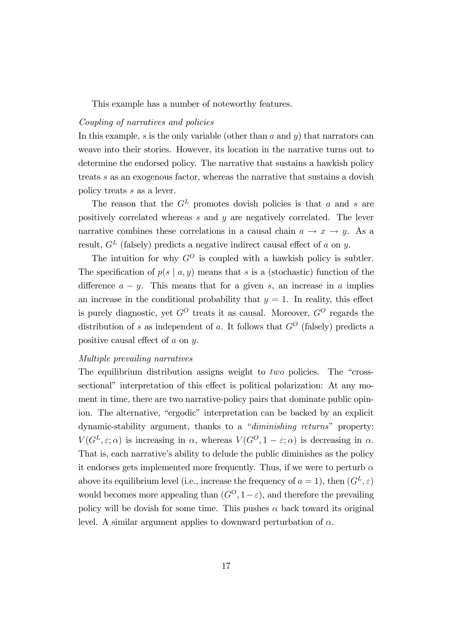This example has a number of noteworthy features.

#### Coupling of narratives and policies

In this example, s is the only variable (other than  $a$  and  $y$ ) that narrators can weave into their stories. However, its location in the narrative turns out to determine the endorsed policy. The narrative that sustains a hawkish policy treats s as an exogenous factor, whereas the narrative that sustains a dovish policy treats s as a lever.

The reason that the  $G<sup>L</sup>$  promotes dovish policies is that a and s are positively correlated whereas  $s$  and  $y$  are negatively correlated. The lever narrative combines these correlations in a causal chain  $a \to x \to y$ . As a result,  $G<sup>L</sup>$  (falsely) predicts a negative indirect causal effect of a on y.

The intuition for why  $G^O$  is coupled with a hawkish policy is subtler. The specification of  $p(s | a, y)$  means that s is a (stochastic) function of the difference  $a - y$ . This means that for a given s, an increase in a implies an increase in the conditional probability that  $y = 1$ . In reality, this effect is purely diagnostic, yet  $G^O$  treats it as causal. Moreover,  $G^O$  regards the distribution of s as independent of a. It follows that  $G^O$  (falsely) predicts a positive causal effect of  $a$  on  $y$ .

#### Multiple prevailing narratives

The equilibrium distribution assigns weight to *two* policies. The "crosssectional" interpretation of this effect is political polarization: At any moment in time, there are two narrative-policy pairs that dominate public opinion. The alternative, "ergodic" interpretation can be backed by an explicit dynamic-stability argument, thanks to a "diminishing returns" property:  $V(G^L, \varepsilon; \alpha)$  is increasing in  $\alpha$ , whereas  $V(G^O, 1-\varepsilon; \alpha)$  is decreasing in  $\alpha$ . That is, each narrative's ability to delude the public diminishes as the policy it endorses gets implemented more frequently. Thus, if we were to perturb  $\alpha$ above its equilibrium level (i.e., increase the frequency of  $a = 1$ ), then  $(G^L, \varepsilon)$ would becomes more appealing than  $(G^O, 1-\varepsilon)$ , and therefore the prevailing policy will be dovish for some time. This pushes  $\alpha$  back toward its original level. A similar argument applies to downward perturbation of  $\alpha$ .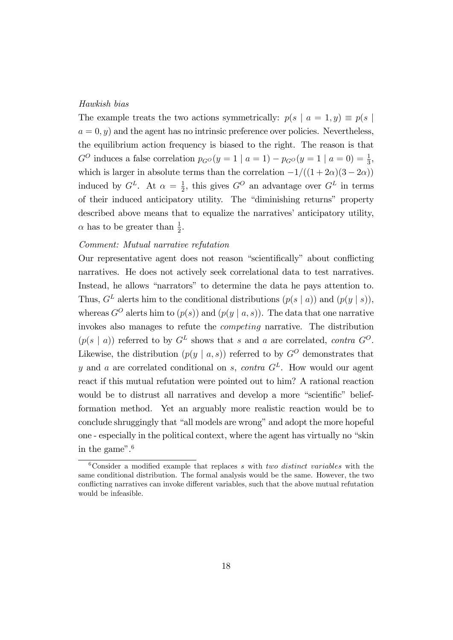#### Hawkish bias

The example treats the two actions symmetrically:  $p(s \mid a = 1, y) \equiv p(s \mid a)$  $a = 0, y$  and the agent has no intrinsic preference over policies. Nevertheless, the equilibrium action frequency is biased to the right. The reason is that  $G^O$  induces a false correlation  $p_{G^O}(y=1 \mid a=1) - p_{G^O}(y=1 \mid a=0) = \frac{1}{3}$ , which is larger in absolute terms than the correlation  $-1/((1 + 2\alpha)(3 - 2\alpha))$ induced by  $G^L$ . At  $\alpha = \frac{1}{2}$  $\frac{1}{2}$ , this gives  $G^O$  an advantage over  $G^L$  in terms of their induced anticipatory utility. The "diminishing returns" property described above means that to equalize the narratives' anticipatory utility,  $\alpha$  has to be greater than  $\frac{1}{2}$ .

#### Comment: Mutual narrative refutation

Our representative agent does not reason "scientifically" about conflicting narratives. He does not actively seek correlational data to test narratives. Instead, he allows "narrators" to determine the data he pays attention to. Thus,  $G<sup>L</sup>$  alerts him to the conditional distributions  $(p(s | a))$  and  $(p(y | s))$ , whereas  $G^O$  alerts him to  $(p(s))$  and  $(p(y \mid a, s))$ . The data that one narrative invokes also manages to refute the competing narrative. The distribution  $(p(s | a))$  referred to by  $G<sup>L</sup>$  shows that s and a are correlated, contra  $G<sup>O</sup>$ . Likewise, the distribution  $(p(y \mid a, s))$  referred to by  $G^O$  demonstrates that y and a are correlated conditional on s, contra  $G<sup>L</sup>$ . How would our agent react if this mutual refutation were pointed out to him? A rational reaction would be to distrust all narratives and develop a more "scientific" beliefformation method. Yet an arguably more realistic reaction would be to conclude shruggingly that "all models are wrong" and adopt the more hopeful one - especially in the political context, where the agent has virtually no "skin in the game". $6$ 

 $6$ Consider a modified example that replaces s with two distinct variables with the same conditional distribution. The formal analysis would be the same. However, the two conflicting narratives can invoke different variables, such that the above mutual refutation would be infeasible.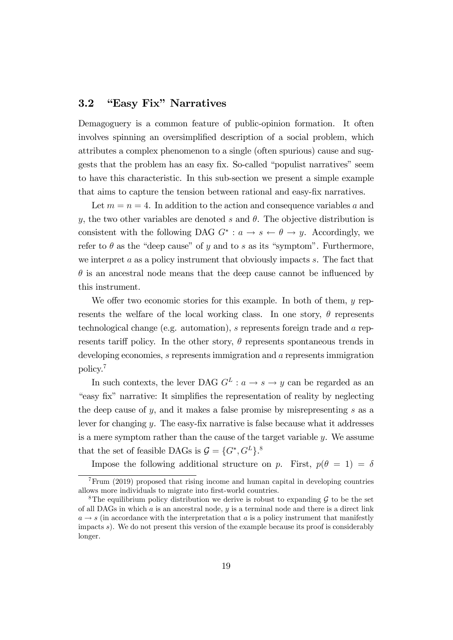### 3.2 "Easy Fix" Narratives

Demagoguery is a common feature of public-opinion formation. It often involves spinning an oversimplified description of a social problem, which attributes a complex phenomenon to a single (often spurious) cause and suggests that the problem has an easy fix. So-called "populist narratives" seem to have this characteristic. In this sub-section we present a simple example that aims to capture the tension between rational and easy-Öx narratives.

Let  $m = n = 4$ . In addition to the action and consequence variables a and y, the two other variables are denoted s and  $\theta$ . The objective distribution is consistent with the following DAG  $G^* : a \to s \leftarrow \theta \to y$ . Accordingly, we refer to  $\theta$  as the "deep cause" of y and to s as its "symptom". Furthermore, we interpret  $a$  as a policy instrument that obviously impacts  $s$ . The fact that  $\theta$  is an ancestral node means that the deep cause cannot be influenced by this instrument.

We offer two economic stories for this example. In both of them,  $y$  represents the welfare of the local working class. In one story,  $\theta$  represents technological change (e.g. automation), s represents foreign trade and a represents tariff policy. In the other story,  $\theta$  represents spontaneous trends in developing economies, s represents immigration and a represents immigration policy.<sup>7</sup>

In such contexts, the lever DAG  $G^L: a \to s \to y$  can be regarded as an ìeasy Öxî narrative: It simpliÖes the representation of reality by neglecting the deep cause of  $y$ , and it makes a false promise by misrepresenting  $s$  as a lever for changing  $y$ . The easy-fix narrative is false because what it addresses is a mere symptom rather than the cause of the target variable  $y$ . We assume that the set of feasible DAGs is  $\mathcal{G} = \{G^*, G^L\}$ .<sup>8</sup>

Impose the following additional structure on p. First,  $p(\theta = 1) = \delta$ 

 $7$ Frum (2019) proposed that rising income and human capital in developing countries allows more individuals to migrate into first-world countries.

<sup>&</sup>lt;sup>8</sup>The equilibrium policy distribution we derive is robust to expanding  $\mathcal G$  to be the set of all DAGs in which  $\alpha$  is an ancestral node,  $y$  is a terminal node and there is a direct link  $a \rightarrow s$  (in accordance with the interpretation that a is a policy instrument that manifestly impacts s). We do not present this version of the example because its proof is considerably longer.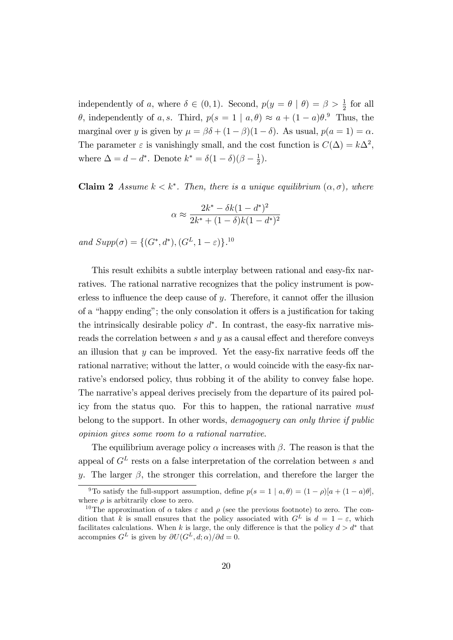independently of a, where  $\delta \in (0,1)$ . Second,  $p(y = \theta | \theta) = \beta > \frac{1}{2}$  for all  $\theta$ , independently of a, s. Third,  $p(s = 1 | a, \theta) \approx a + (1 - a)\theta$ . Thus, the marginal over y is given by  $\mu = \beta \delta + (1 - \beta)(1 - \delta)$ . As usual,  $p(a = 1) = \alpha$ . The parameter  $\varepsilon$  is vanishingly small, and the cost function is  $C(\Delta) = k\Delta^2$ , where  $\Delta = d - d^*$ . Denote  $k^* = \delta(1 - \delta)(\beta - \frac{1}{2})$  $(\frac{1}{2})$ .

**Claim 2** Assume  $k < k^*$ . Then, there is a unique equilibrium  $(\alpha, \sigma)$ , where

$$
\alpha \approx \frac{2k^* - \delta k (1 - d^*)^2}{2k^* + (1 - \delta)k(1 - d^*)^2}
$$

and  $Supp(\sigma) = \{(G^*, d^*), (G^L, 1 - \varepsilon)\}.^{10}$ 

This result exhibits a subtle interplay between rational and easy-fix narratives. The rational narrative recognizes that the policy instrument is powerless to influence the deep cause of  $y$ . Therefore, it cannot offer the illusion of a "happy ending"; the only consolation it offers is a justification for taking the intrinsically desirable policy  $d^*$ . In contrast, the easy-fix narrative misreads the correlation between  $s$  and  $y$  as a causal effect and therefore conveys an illusion that  $y$  can be improved. Yet the easy-fix narrative feeds off the rational narrative; without the latter,  $\alpha$  would coincide with the easy-fix narrative's endorsed policy, thus robbing it of the ability to convey false hope. The narrative's appeal derives precisely from the departure of its paired policy from the status quo. For this to happen, the rational narrative must belong to the support. In other words, demagoguery can only thrive if public opinion gives some room to a rational narrative.

The equilibrium average policy  $\alpha$  increases with  $\beta$ . The reason is that the appeal of  $G<sup>L</sup>$  rests on a false interpretation of the correlation between s and y. The larger  $\beta$ , the stronger this correlation, and therefore the larger the

<sup>&</sup>lt;sup>9</sup>To satisfy the full-support assumption, define  $p(s = 1 | a, \theta) = (1 - \rho)[a + (1 - a)\theta],$ where  $\rho$  is arbitrarily close to zero.

<sup>&</sup>lt;sup>10</sup>The approximation of  $\alpha$  takes  $\varepsilon$  and  $\rho$  (see the previous footnote) to zero. The condition that k is small ensures that the policy associated with  $G<sup>L</sup>$  is  $d = 1 - \varepsilon$ , which facilitates calculations. When k is large, the only difference is that the policy  $d > d^*$  that accompnies  $G^L$  is given by  $\partial U(G^L, d; \alpha)/\partial d = 0$ .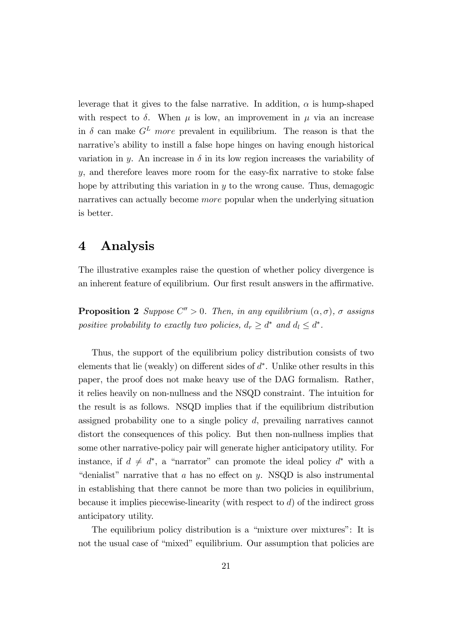leverage that it gives to the false narrative. In addition,  $\alpha$  is hump-shaped with respect to  $\delta$ . When  $\mu$  is low, an improvement in  $\mu$  via an increase in  $\delta$  can make  $G^L$  more prevalent in equilibrium. The reason is that the narrative's ability to instill a false hope hinges on having enough historical variation in y. An increase in  $\delta$  in its low region increases the variability of  $y$ , and therefore leaves more room for the easy-fix narrative to stoke false hope by attributing this variation in  $y$  to the wrong cause. Thus, demagogic narratives can actually become more popular when the underlying situation is better.

### 4 Analysis

The illustrative examples raise the question of whether policy divergence is an inherent feature of equilibrium. Our first result answers in the affirmative.

**Proposition 2** Suppose  $C'' > 0$ . Then, in any equilibrium  $(\alpha, \sigma)$ ,  $\sigma$  assigns positive probability to exactly two policies,  $d_r \geq d^*$  and  $d_l \leq d^*$ .

Thus, the support of the equilibrium policy distribution consists of two elements that lie (weakly) on different sides of  $d^*$ . Unlike other results in this paper, the proof does not make heavy use of the DAG formalism. Rather, it relies heavily on non-nullness and the NSQD constraint. The intuition for the result is as follows. NSQD implies that if the equilibrium distribution assigned probability one to a single policy  $d$ , prevailing narratives cannot distort the consequences of this policy. But then non-nullness implies that some other narrative-policy pair will generate higher anticipatory utility. For instance, if  $d \neq d^*$ , a "narrator" can promote the ideal policy  $d^*$  with a "denialist" narrative that a has no effect on y. NSQD is also instrumental in establishing that there cannot be more than two policies in equilibrium, because it implies piecewise-linearity (with respect to  $d$ ) of the indirect gross anticipatory utility.

The equilibrium policy distribution is a "mixture over mixtures": It is not the usual case of "mixed" equilibrium. Our assumption that policies are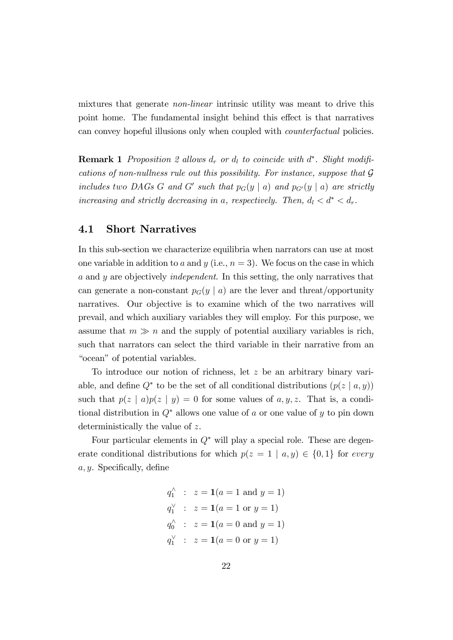mixtures that generate *non-linear* intrinsic utility was meant to drive this point home. The fundamental insight behind this effect is that narratives can convey hopeful illusions only when coupled with counterfactual policies.

**Remark 1** Proposition 2 allows  $d_r$  or  $d_l$  to coincide with  $d^*$ . Slight modifications of non-nullness rule out this possibility. For instance, suppose that G includes two DAGs G and G' such that  $p_G(y \mid a)$  and  $p_{G'}(y \mid a)$  are strictly increasing and strictly decreasing in a, respectively. Then,  $d_l < d^* < d_r$ .

### 4.1 Short Narratives

In this sub-section we characterize equilibria when narrators can use at most one variable in addition to a and y (i.e.,  $n = 3$ ). We focus on the case in which a and y are objectively independent. In this setting, the only narratives that can generate a non-constant  $p_G(y \mid a)$  are the lever and threat/opportunity narratives. Our objective is to examine which of the two narratives will prevail, and which auxiliary variables they will employ. For this purpose, we assume that  $m \gg n$  and the supply of potential auxiliary variables is rich, such that narrators can select the third variable in their narrative from an "ocean" of potential variables.

To introduce our notion of richness, let z be an arbitrary binary variable, and define  $Q^*$  to be the set of all conditional distributions  $(p(z | a, y))$ such that  $p(z | a)p(z | y) = 0$  for some values of a, y, z. That is, a conditional distribution in  $Q^*$  allows one value of a or one value of y to pin down deterministically the value of z.

Four particular elements in  $Q^*$  will play a special role. These are degenerate conditional distributions for which  $p(z = 1 | a, y) \in \{0, 1\}$  for every  $a, y$ . Specifically, define

$$
q_1^{\wedge} : z = \mathbf{1}(a = 1 \text{ and } y = 1)
$$
  
\n
$$
q_1^{\vee} : z = \mathbf{1}(a = 1 \text{ or } y = 1)
$$
  
\n
$$
q_0^{\wedge} : z = \mathbf{1}(a = 0 \text{ and } y = 1)
$$
  
\n
$$
q_1^{\vee} : z = \mathbf{1}(a = 0 \text{ or } y = 1)
$$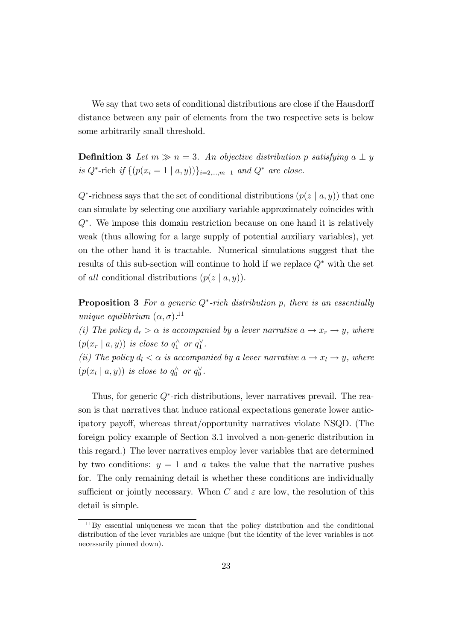We say that two sets of conditional distributions are close if the Hausdorff distance between any pair of elements from the two respective sets is below some arbitrarily small threshold.

**Definition 3** Let  $m \gg n = 3$ . An objective distribution p satisfying a  $\perp y$ is  $Q^*$ -rich if  $\{(p(x_i = 1 \mid a, y))\}_{i=2,\dots,m-1}$  and  $Q^*$  are close.

 $Q^*$ -richness says that the set of conditional distributions  $(p(z | a, y))$  that one can simulate by selecting one auxiliary variable approximately coincides with Q . We impose this domain restriction because on one hand it is relatively weak (thus allowing for a large supply of potential auxiliary variables), yet on the other hand it is tractable. Numerical simulations suggest that the results of this sub-section will continue to hold if we replace  $Q^*$  with the set of all conditional distributions  $(p(z \mid a, y))$ .

**Proposition 3** For a generic  $Q^*$ -rich distribution p, there is an essentially unique equilibrium  $(\alpha, \sigma)$ :<sup>11</sup>

(i) The policy  $d_r > \alpha$  is accompanied by a lever narrative  $a \to x_r \to y$ , where  $(p(x_r \mid a, y))$  is close to  $q_1^{\wedge}$  or  $q_1^{\vee}$ .

(ii) The policy  $d_l < \alpha$  is accompanied by a lever narrative  $a \to x_l \to y$ , where  $(p(x_l \mid a, y))$  is close to  $q_0 \land or q_0 \lor$ .

Thus, for generic  $Q^*$ -rich distributions, lever narratives prevail. The reason is that narratives that induce rational expectations generate lower anticipatory payo§, whereas threat/opportunity narratives violate NSQD. (The foreign policy example of Section 3.1 involved a non-generic distribution in this regard.) The lever narratives employ lever variables that are determined by two conditions:  $y = 1$  and a takes the value that the narrative pushes for. The only remaining detail is whether these conditions are individually sufficient or jointly necessary. When C and  $\varepsilon$  are low, the resolution of this detail is simple.

<sup>11</sup>By essential uniqueness we mean that the policy distribution and the conditional distribution of the lever variables are unique (but the identity of the lever variables is not necessarily pinned down).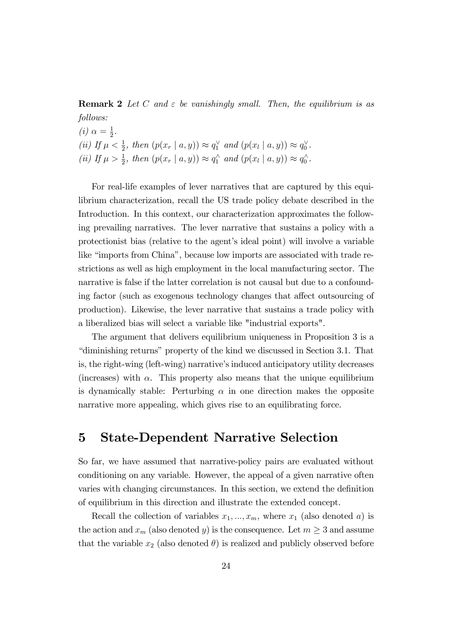**Remark 2** Let C and  $\varepsilon$  be vanishingly small. Then, the equilibrium is as follows:  $(i) \alpha = \frac{1}{2}$  $\frac{1}{2}$ .

(ii) If  $\mu < \frac{1}{2}$ , then  $(p(x_r | a, y)) \approx q_1^{\vee}$  and  $(p(x_l | a, y)) \approx q_0^{\vee}$ . (ii) If  $\mu > \frac{1}{2}$ , then  $(p(x_r | a, y)) \approx q_1^{\wedge}$  and  $(p(x_l | a, y)) \approx q_0^{\wedge}$ .

For real-life examples of lever narratives that are captured by this equilibrium characterization, recall the US trade policy debate described in the Introduction. In this context, our characterization approximates the following prevailing narratives. The lever narrative that sustains a policy with a protectionist bias (relative to the agent's ideal point) will involve a variable like "imports from China", because low imports are associated with trade restrictions as well as high employment in the local manufacturing sector. The narrative is false if the latter correlation is not causal but due to a confounding factor (such as exogenous technology changes that affect outsourcing of production). Likewise, the lever narrative that sustains a trade policy with a liberalized bias will select a variable like "industrial exports".

The argument that delivers equilibrium uniqueness in Proposition 3 is a "diminishing returns" property of the kind we discussed in Section 3.1. That is, the right-wing (left-wing) narrative's induced anticipatory utility decreases (increases) with  $\alpha$ . This property also means that the unique equilibrium is dynamically stable: Perturbing  $\alpha$  in one direction makes the opposite narrative more appealing, which gives rise to an equilibrating force.

### 5 State-Dependent Narrative Selection

So far, we have assumed that narrative-policy pairs are evaluated without conditioning on any variable. However, the appeal of a given narrative often varies with changing circumstances. In this section, we extend the definition of equilibrium in this direction and illustrate the extended concept.

Recall the collection of variables  $x_1, ..., x_m$ , where  $x_1$  (also denoted a) is the action and  $x_m$  (also denoted y) is the consequence. Let  $m \geq 3$  and assume that the variable  $x_2$  (also denoted  $\theta$ ) is realized and publicly observed before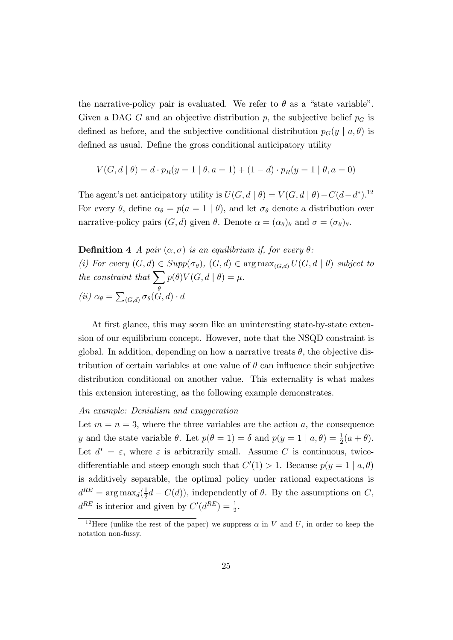the narrative-policy pair is evaluated. We refer to  $\theta$  as a "state variable". Given a DAG G and an objective distribution p, the subjective belief  $p<sub>G</sub>$  is defined as before, and the subjective conditional distribution  $p_G(y \mid a, \theta)$  is defined as usual. Define the gross conditional anticipatory utility

$$
V(G, d | \theta) = d \cdot p_R(y = 1 | \theta, a = 1) + (1 - d) \cdot p_R(y = 1 | \theta, a = 0)
$$

The agent's net anticipatory utility is  $U(G, d | \theta) = V(G, d | \theta) - C(d - d^*)$ .<sup>12</sup> For every  $\theta$ , define  $\alpha_{\theta} = p(a = 1 | \theta)$ , and let  $\sigma_{\theta}$  denote a distribution over narrative-policy pairs  $(G, d)$  given  $\theta$ . Denote  $\alpha = (\alpha_{\theta})_{\theta}$  and  $\sigma = (\sigma_{\theta})_{\theta}$ .

**Definition 4** A pair  $(\alpha, \sigma)$  is an equilibrium if, for every  $\theta$ : (i) For every  $(G, d) \in Supp(\sigma_{\theta}), (G, d) \in \arg \max_{(G,d)} U(G, d | \theta)$  subject to the constraint that  $\sum p(\theta)V(G, d | \theta) = \mu$ .  $\theta$ (ii)  $\alpha_{\theta} = \sum_{(G,d)} \sigma_{\theta}(G,d) \cdot d$ 

At first glance, this may seem like an uninteresting state-by-state extension of our equilibrium concept. However, note that the NSQD constraint is global. In addition, depending on how a narrative treats  $\theta$ , the objective distribution of certain variables at one value of  $\theta$  can influence their subjective distribution conditional on another value. This externality is what makes this extension interesting, as the following example demonstrates.

#### An example: Denialism and exaggeration

Let  $m = n = 3$ , where the three variables are the action a, the consequence y and the state variable  $\theta$ . Let  $p(\theta = 1) = \delta$  and  $p(y = 1 | a, \theta) = \frac{1}{2}(a + \theta)$ . Let  $d^* = \varepsilon$ , where  $\varepsilon$  is arbitrarily small. Assume C is continuous, twicedifferentiable and steep enough such that  $C'(1) > 1$ . Because  $p(y = 1 | a, \theta)$ is additively separable, the optimal policy under rational expectations is  $d^{RE} = \argmax_d(\frac{1}{2})$  $\frac{1}{2}d - C(d)$ , independently of  $\theta$ . By the assumptions on C,  $d^{RE}$  is interior and given by  $C'(d^{RE}) = \frac{1}{2}$ .

<sup>&</sup>lt;sup>12</sup>Here (unlike the rest of the paper) we suppress  $\alpha$  in V and U, in order to keep the notation non-fussy.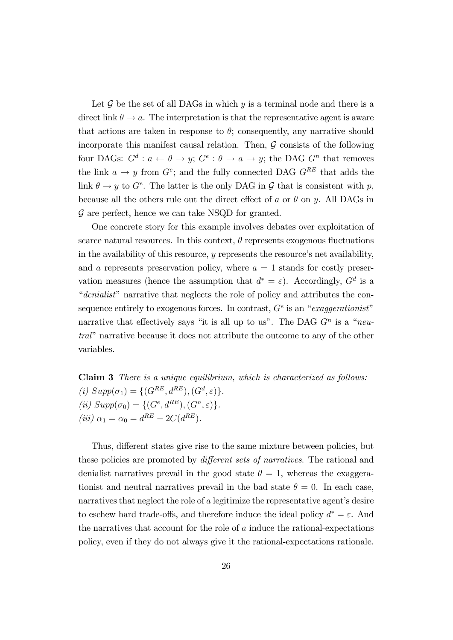Let  $\mathcal G$  be the set of all DAGs in which  $y$  is a terminal node and there is a direct link  $\theta \rightarrow a$ . The interpretation is that the representative agent is aware that actions are taken in response to  $\theta$ ; consequently, any narrative should incorporate this manifest causal relation. Then,  $G$  consists of the following four DAGs:  $G^d$  :  $a \leftarrow \theta \rightarrow y$ ;  $G^e : \theta \rightarrow a \rightarrow y$ ; the DAG  $G^n$  that removes the link  $a \to y$  from  $G^e$ ; and the fully connected DAG  $G^{RE}$  that adds the link  $\theta \to y$  to  $G^e$ . The latter is the only DAG in  $\mathcal G$  that is consistent with  $p$ , because all the others rule out the direct effect of a or  $\theta$  on y. All DAGs in  $\mathcal G$  are perfect, hence we can take NSQD for granted.

One concrete story for this example involves debates over exploitation of scarce natural resources. In this context,  $\theta$  represents exogenous fluctuations in the availability of this resource,  $y$  represents the resource's net availability, and  $a$  represents preservation policy, where  $a = 1$  stands for costly preservation measures (hence the assumption that  $d^* = \varepsilon$ ). Accordingly,  $G^d$  is a  $"denialist"$  narrative that neglects the role of policy and attributes the consequence entirely to exogenous forces. In contrast,  $G<sup>e</sup>$  is an "exaggerationist" narrative that effectively says "it is all up to us". The DAG  $G<sup>n</sup>$  is a "neutral" narrative because it does not attribute the outcome to any of the other variables.

Claim 3 There is a unique equilibrium, which is characterized as follows: (i)  $Supp(\sigma_1) = \{ (G^{RE}, d^{RE}), (G^d, \varepsilon) \}.$ (ii)  $Supp(\sigma_0) = \{(G^e, d^{RE}), (G^n, \varepsilon)\}.$ (*iii*)  $\alpha_1 = \alpha_0 = d^{RE} - 2C(d^{RE})$ .

Thus, different states give rise to the same mixture between policies, but these policies are promoted by *different sets of narratives*. The rational and denialist narratives prevail in the good state  $\theta = 1$ , whereas the exaggerationist and neutral narratives prevail in the bad state  $\theta = 0$ . In each case, narratives that neglect the role of  $a$  legitimize the representative agent's desire to eschew hard trade-offs, and therefore induce the ideal policy  $d^* = \varepsilon$ . And the narratives that account for the role of  $a$  induce the rational-expectations policy, even if they do not always give it the rational-expectations rationale.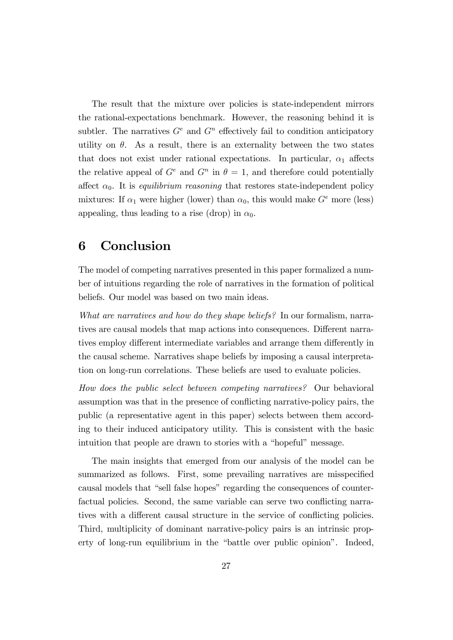The result that the mixture over policies is state-independent mirrors the rational-expectations benchmark. However, the reasoning behind it is subtler. The narratives  $G^e$  and  $G^n$  effectively fail to condition anticipatory utility on  $\theta$ . As a result, there is an externality between the two states that does not exist under rational expectations. In particular,  $\alpha_1$  affects the relative appeal of  $G^e$  and  $G^n$  in  $\theta = 1$ , and therefore could potentially affect  $\alpha_0$ . It is *equilibrium reasoning* that restores state-independent policy mixtures: If  $\alpha_1$  were higher (lower) than  $\alpha_0$ , this would make  $G^e$  more (less) appealing, thus leading to a rise (drop) in  $\alpha_0$ .

## 6 Conclusion

The model of competing narratives presented in this paper formalized a number of intuitions regarding the role of narratives in the formation of political beliefs. Our model was based on two main ideas.

What are narratives and how do they shape beliefs? In our formalism, narratives are causal models that map actions into consequences. Different narratives employ different intermediate variables and arrange them differently in the causal scheme. Narratives shape beliefs by imposing a causal interpretation on long-run correlations. These beliefs are used to evaluate policies.

How does the public select between competing narratives? Our behavioral assumption was that in the presence of conflicting narrative-policy pairs, the public (a representative agent in this paper) selects between them according to their induced anticipatory utility. This is consistent with the basic intuition that people are drawn to stories with a "hopeful" message.

The main insights that emerged from our analysis of the model can be summarized as follows. First, some prevailing narratives are misspecified causal models that "sell false hopes" regarding the consequences of counterfactual policies. Second, the same variable can serve two conflicting narratives with a different causal structure in the service of conflicting policies. Third, multiplicity of dominant narrative-policy pairs is an intrinsic property of long-run equilibrium in the "battle over public opinion". Indeed,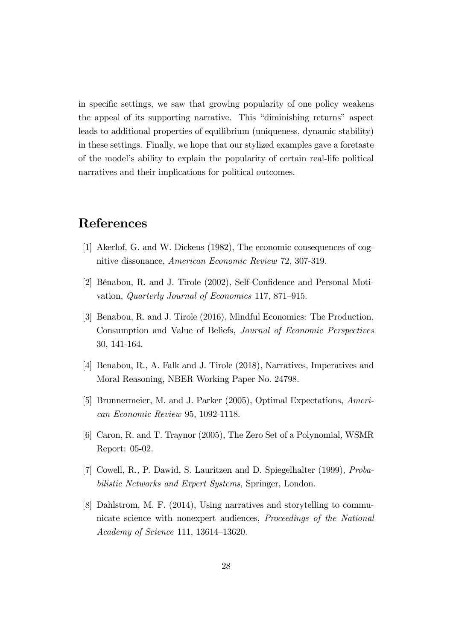in specific settings, we saw that growing popularity of one policy weakens the appeal of its supporting narrative. This "diminishing returns" aspect leads to additional properties of equilibrium (uniqueness, dynamic stability) in these settings. Finally, we hope that our stylized examples gave a foretaste of the model's ability to explain the popularity of certain real-life political narratives and their implications for political outcomes.

## References

- [1] Akerlof, G. and W. Dickens (1982), The economic consequences of cognitive dissonance, American Economic Review 72, 307-319.
- [2] Bénabou, R. and J. Tirole (2002), Self-Confidence and Personal Motivation, *Quarterly Journal of Economics* 117, 871–915.
- [3] Benabou, R. and J. Tirole (2016), Mindful Economics: The Production, Consumption and Value of Beliefs, Journal of Economic Perspectives 30, 141-164.
- [4] Benabou, R., A. Falk and J. Tirole (2018), Narratives, Imperatives and Moral Reasoning, NBER Working Paper No. 24798.
- [5] Brunnermeier, M. and J. Parker (2005), Optimal Expectations, American Economic Review 95, 1092-1118.
- [6] Caron, R. and T. Traynor (2005), The Zero Set of a Polynomial, WSMR Report: 05-02.
- [7] Cowell, R., P. Dawid, S. Lauritzen and D. Spiegelhalter (1999), Probabilistic Networks and Expert Systems, Springer, London.
- [8] Dahlstrom, M. F. (2014), Using narratives and storytelling to communicate science with nonexpert audiences, Proceedings of the National Academy of Science 111, 13614–13620.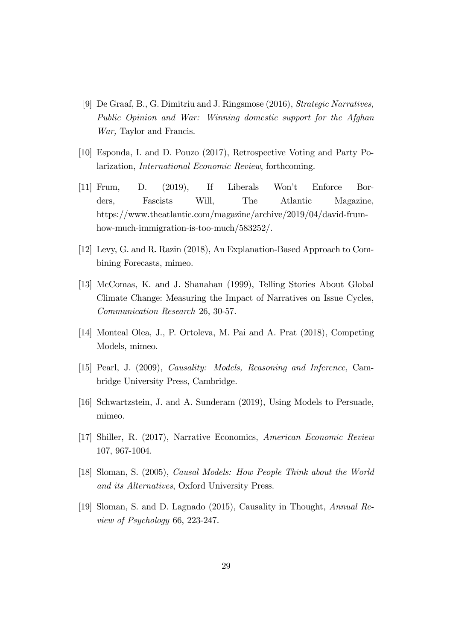- [9] De Graaf, B., G. Dimitriu and J. Ringsmose (2016), Strategic Narratives, Public Opinion and War: Winning domestic support for the Afghan War, Taylor and Francis.
- [10] Esponda, I. and D. Pouzo (2017), Retrospective Voting and Party Polarization, International Economic Review, forthcoming.
- [11] Frum, D. (2019), If Liberals Won't Enforce Borders, Fascists Will, The Atlantic Magazine, https://www.theatlantic.com/magazine/archive/2019/04/david-frumhow-much-immigration-is-too-much/583252/.
- [12] Levy, G. and R. Razin (2018), An Explanation-Based Approach to Combining Forecasts, mimeo.
- [13] McComas, K. and J. Shanahan (1999), Telling Stories About Global Climate Change: Measuring the Impact of Narratives on Issue Cycles, Communication Research 26, 30-57.
- [14] Monteal Olea, J., P. Ortoleva, M. Pai and A. Prat (2018), Competing Models, mimeo.
- [15] Pearl, J. (2009), Causality: Models, Reasoning and Inference, Cambridge University Press, Cambridge.
- [16] Schwartzstein, J. and A. Sunderam (2019), Using Models to Persuade, mimeo.
- [17] Shiller, R. (2017), Narrative Economics, American Economic Review 107, 967-1004.
- [18] Sloman, S. (2005), Causal Models: How People Think about the World and its Alternatives, Oxford University Press.
- [19] Sloman, S. and D. Lagnado (2015), Causality in Thought, Annual Review of Psychology 66, 223-247.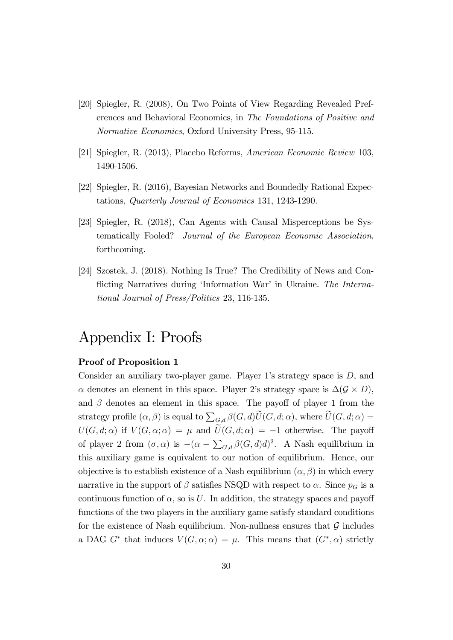- [20] Spiegler, R. (2008), On Two Points of View Regarding Revealed Preferences and Behavioral Economics, in The Foundations of Positive and Normative Economics, Oxford University Press, 95-115.
- [21] Spiegler, R. (2013), Placebo Reforms, American Economic Review 103, 1490-1506.
- [22] Spiegler, R. (2016), Bayesian Networks and Boundedly Rational Expectations, Quarterly Journal of Economics 131, 1243-1290.
- [23] Spiegler, R. (2018), Can Agents with Causal Misperceptions be Systematically Fooled? Journal of the European Economic Association, forthcoming.
- [24] Szostek, J. (2018). Nothing Is True? The Credibility of News and Conflicting Narratives during 'Information War' in Ukraine. The International Journal of Press/Politics 23, 116-135.

# Appendix I: Proofs

#### Proof of Proposition 1

Consider an auxiliary two-player game. Player 1's strategy space is  $D$ , and  $\alpha$  denotes an element in this space. Player 2's strategy space is  $\Delta(\mathcal{G} \times D)$ , and  $\beta$  denotes an element in this space. The payoff of player 1 from the strategy profile  $(\alpha, \beta)$  is equal to  $\sum_{G,d} \beta(G,d) \widetilde{U}(G,d;\alpha)$ , where  $\widetilde{U}(G,d;\alpha) =$  $U(G, d; \alpha)$  if  $V(G, \alpha; \alpha) = \mu$  and  $\widetilde{U}(G, d; \alpha) = -1$  otherwise. The payoff of player 2 from  $(\sigma, \alpha)$  is  $-(\alpha - \sum_{G,d} \beta(G,d)d)^2$ . A Nash equilibrium in this auxiliary game is equivalent to our notion of equilibrium. Hence, our objective is to establish existence of a Nash equilibrium  $(\alpha, \beta)$  in which every narrative in the support of  $\beta$  satisfies NSQD with respect to  $\alpha$ . Since  $p_G$  is a continuous function of  $\alpha$ , so is U. In addition, the strategy spaces and payoff functions of the two players in the auxiliary game satisfy standard conditions for the existence of Nash equilibrium. Non-nullness ensures that  $\mathcal G$  includes a DAG  $G^*$  that induces  $V(G, \alpha; \alpha) = \mu$ . This means that  $(G^*, \alpha)$  strictly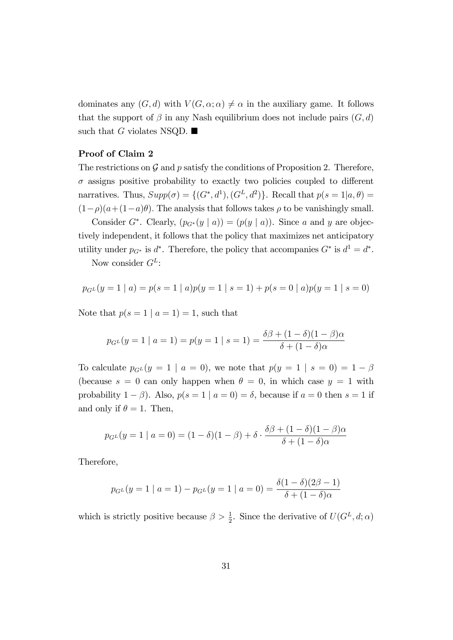dominates any  $(G, d)$  with  $V(G, \alpha; \alpha) \neq \alpha$  in the auxiliary game. It follows that the support of  $\beta$  in any Nash equilibrium does not include pairs  $(G, d)$ such that G violates NSQD.  $\blacksquare$ 

#### Proof of Claim 2

The restrictions on  $\mathcal G$  and p satisfy the conditions of Proposition 2. Therefore,  $\sigma$  assigns positive probability to exactly two policies coupled to different narratives. Thus,  $Supp(\sigma) = \{(G^*, d^1), (G^L, d^2)\}\.$  Recall that  $p(s = 1|a, \theta) =$  $(1-\rho)(a+(1-a)\theta)$ . The analysis that follows takes  $\rho$  to be vanishingly small.

Consider  $G^*$ . Clearly,  $(p_{G^*}(y \mid a)) = (p(y \mid a))$ . Since a and y are objectively independent, it follows that the policy that maximizes net anticipatory utility under  $p_{G^*}$  is  $d^*$ . Therefore, the policy that accompanies  $G^*$  is  $d^1 = d^*$ .

Now consider  $G^L$ :

$$
p_{G}(\mathbf{y} = 1 | a) = p(s = 1 | a)p(\mathbf{y} = 1 | s = 1) + p(s = 0 | a)p(\mathbf{y} = 1 | s = 0)
$$

Note that  $p(s = 1 | a = 1) = 1$ , such that

$$
p_{G}(\mathbf{y} = 1 \mid \mathbf{a} = 1) = p(\mathbf{y} = 1 \mid \mathbf{s} = 1) = \frac{\delta\beta + (1 - \delta)(1 - \beta)\alpha}{\delta + (1 - \delta)\alpha}
$$

To calculate  $p_{G^L}(y = 1 | a = 0)$ , we note that  $p(y = 1 | s = 0) = 1 - \beta$ (because  $s = 0$  can only happen when  $\theta = 0$ , in which case  $y = 1$  with probability  $1 - \beta$ ). Also,  $p(s = 1 | a = 0) = \delta$ , because if  $a = 0$  then  $s = 1$  if and only if  $\theta = 1$ . Then,

$$
p_{G^{L}}(y=1 | a=0) = (1 - \delta)(1 - \beta) + \delta \cdot \frac{\delta \beta + (1 - \delta)(1 - \beta)\alpha}{\delta + (1 - \delta)\alpha}
$$

Therefore,

$$
p_{G^L}(y=1 \mid a=1) - p_{G^L}(y=1 \mid a=0) = \frac{\delta(1-\delta)(2\beta-1)}{\delta + (1-\delta)\alpha}
$$

which is strictly positive because  $\beta > \frac{1}{2}$ . Since the derivative of  $U(G^L, d; \alpha)$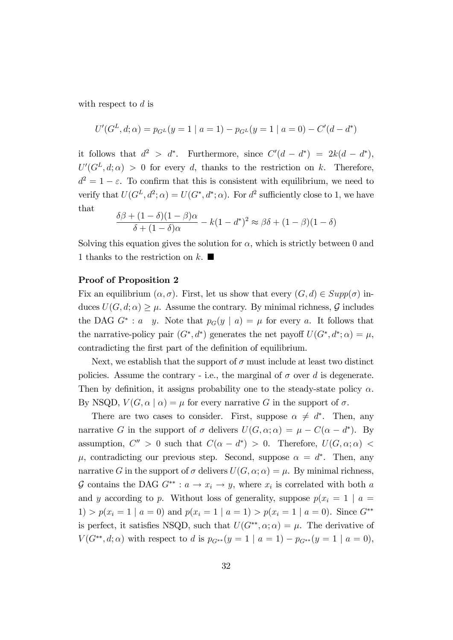with respect to d is

$$
U'(GL, d; \alpha) = p_{GL}(y = 1 | a = 1) - p_{GL}(y = 1 | a = 0) - C'(d - d^*)
$$

it follows that  $d^2 > d^*$ . Furthermore, since  $C'(d - d^*) = 2k(d - d^*)$ ,  $U'(G^L, d; \alpha) > 0$  for every d, thanks to the restriction on k. Therefore,  $d^2 = 1 - \varepsilon$ . To confirm that this is consistent with equilibrium, we need to verify that  $U(G^L, d^2; \alpha) = U(G^*, d^*; \alpha)$ . For  $d^2$  sufficiently close to 1, we have that

$$
\frac{\delta\beta + (1 - \delta)(1 - \beta)\alpha}{\delta + (1 - \delta)\alpha} - k(1 - d^*)^2 \approx \beta\delta + (1 - \beta)(1 - \delta)
$$

Solving this equation gives the solution for  $\alpha$ , which is strictly between 0 and 1 thanks to the restriction on k.  $\blacksquare$ 

#### Proof of Proposition 2

Fix an equilibrium  $(\alpha, \sigma)$ . First, let us show that every  $(G, d) \in Supp(\sigma)$  induces  $U(G, d; \alpha) \geq \mu$ . Assume the contrary. By minimal richness, G includes the DAG  $G^*$ :  $a \quad y$ . Note that  $p_G(y \mid a) = \mu$  for every  $a$ . It follows that the narrative-policy pair  $(G^*, d^*)$  generates the net payoff  $U(G^*, d^*; \alpha) = \mu$ , contradicting the first part of the definition of equilibrium.

Next, we establish that the support of  $\sigma$  must include at least two distinct policies. Assume the contrary - i.e., the marginal of  $\sigma$  over d is degenerate. Then by definition, it assigns probability one to the steady-state policy  $\alpha$ . By NSQD,  $V(G, \alpha | \alpha) = \mu$  for every narrative G in the support of  $\sigma$ .

There are two cases to consider. First, suppose  $\alpha \neq d^*$ . Then, any narrative G in the support of  $\sigma$  delivers  $U(G, \alpha; \alpha) = \mu - C(\alpha - d^*)$ . By assumption,  $C'' > 0$  such that  $C(\alpha - d^*) > 0$ . Therefore,  $U(G, \alpha; \alpha) <$  $\mu$ , contradicting our previous step. Second, suppose  $\alpha = d^*$ . Then, any narrative G in the support of  $\sigma$  delivers  $U(G, \alpha; \alpha) = \mu$ . By minimal richness, G contains the DAG  $G^{**}: a \to x_i \to y$ , where  $x_i$  is correlated with both a and y according to p. Without loss of generality, suppose  $p(x_i = 1 | a =$ 1) >  $p(x_i = 1 | a = 0)$  and  $p(x_i = 1 | a = 1)$  >  $p(x_i = 1 | a = 0)$ . Since  $G^{**}$ is perfect, it satisfies NSQD, such that  $U(G^{**}, \alpha; \alpha) = \mu$ . The derivative of  $V(G^{**}, d; \alpha)$  with respect to d is  $p_{G^{**}}(y = 1 | a = 1) - p_{G^{**}}(y = 1 | a = 0),$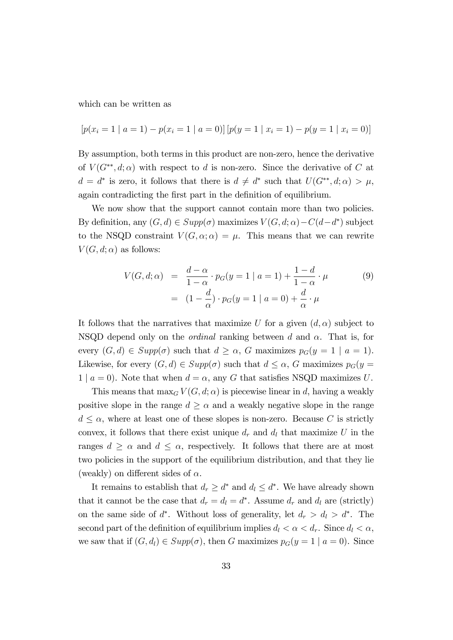which can be written as

$$
[p(x_i = 1 | a = 1) - p(x_i = 1 | a = 0)] [p(y = 1 | x_i = 1) - p(y = 1 | x_i = 0)]
$$

By assumption, both terms in this product are non-zero, hence the derivative of  $V(G^{**}, d; \alpha)$  with respect to d is non-zero. Since the derivative of C at  $d = d^*$  is zero, it follows that there is  $d \neq d^*$  such that  $U(G^{**}, d; \alpha) > \mu$ , again contradicting the first part in the definition of equilibrium.

We now show that the support cannot contain more than two policies. By definition, any  $(G, d) \in Supp(\sigma)$  maximizes  $V(G, d; \alpha) - C(d - d^*)$  subject to the NSQD constraint  $V(G, \alpha; \alpha) = \mu$ . This means that we can rewrite  $V(G, d; \alpha)$  as follows:

$$
V(G, d; \alpha) = \frac{d - \alpha}{1 - \alpha} \cdot p_G(y = 1 | a = 1) + \frac{1 - d}{1 - \alpha} \cdot \mu
$$
\n
$$
= (1 - \frac{d}{\alpha}) \cdot p_G(y = 1 | a = 0) + \frac{d}{\alpha} \cdot \mu
$$
\n(9)

It follows that the narratives that maximize U for a given  $(d, \alpha)$  subject to NSQD depend only on the *ordinal* ranking between d and  $\alpha$ . That is, for every  $(G, d) \in Supp(\sigma)$  such that  $d \geq \alpha$ , G maximizes  $p_G(y = 1 \mid a = 1)$ . Likewise, for every  $(G, d) \in Supp(\sigma)$  such that  $d \leq \alpha$ , G maximizes  $p_G(y =$  $1 | a = 0$ ). Note that when  $d = \alpha$ , any G that satisfies NSQD maximizes U.

This means that  $\max_G V(G, d; \alpha)$  is piecewise linear in d, having a weakly positive slope in the range  $d \geq \alpha$  and a weakly negative slope in the range  $d \leq \alpha$ , where at least one of these slopes is non-zero. Because C is strictly convex, it follows that there exist unique  $d_r$  and  $d_l$  that maximize U in the ranges  $d \geq \alpha$  and  $d \leq \alpha$ , respectively. It follows that there are at most two policies in the support of the equilibrium distribution, and that they lie (weakly) on different sides of  $\alpha$ .

It remains to establish that  $d_r \geq d^*$  and  $d_l \leq d^*$ . We have already shown that it cannot be the case that  $d_r = d_l = d^*$ . Assume  $d_r$  and  $d_l$  are (strictly) on the same side of  $d^*$ . Without loss of generality, let  $d_r > d_l > d^*$ . The second part of the definition of equilibrium implies  $d_l < \alpha < d_r$ . Since  $d_l < \alpha$ , we saw that if  $(G, d_l) \in Supp(\sigma)$ , then G maximizes  $p_G(y = 1 | a = 0)$ . Since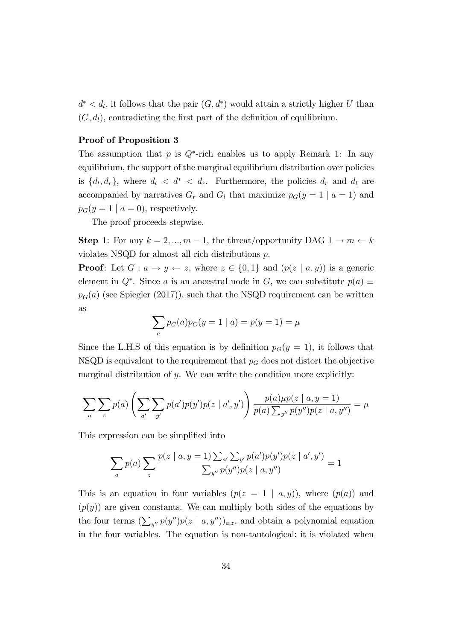$d^* < d_l$ , it follows that the pair  $(G, d^*)$  would attain a strictly higher U than  $(G, d<sub>l</sub>)$ , contradicting the first part of the definition of equilibrium.

#### Proof of Proposition 3

The assumption that  $p$  is  $Q^*$ -rich enables us to apply Remark 1: In any equilibrium, the support of the marginal equilibrium distribution over policies is  $\{d_l, d_r\}$ , where  $d_l < d^* < d_r$ . Furthermore, the policies  $d_r$  and  $d_l$  are accompanied by narratives  $G_r$  and  $G_l$  that maximize  $p_G(y = 1 | a = 1)$  and  $p_G(y=1 \mid a=0)$ , respectively.

The proof proceeds stepwise.

**Step 1:** For any  $k = 2, ..., m - 1$ , the threat/opportunity DAG  $1 \rightarrow m \leftarrow k$ violates NSQD for almost all rich distributions p.

**Proof:** Let  $G: a \to y \leftarrow z$ , where  $z \in \{0,1\}$  and  $(p(z \mid a,y))$  is a generic element in  $Q^*$ . Since a is an ancestral node in G, we can substitute  $p(a) \equiv$  $p_G(a)$  (see Spiegler (2017)), such that the NSQD requirement can be written as

$$
\sum_{a} p_G(a) p_G(y = 1 \mid a) = p(y = 1) = \mu
$$

Since the L.H.S of this equation is by definition  $p_G(y = 1)$ , it follows that NSQD is equivalent to the requirement that  $p<sub>G</sub>$  does not distort the objective marginal distribution of  $y$ . We can write the condition more explicitly:

$$
\sum_{a} \sum_{z} p(a) \left( \sum_{a'} \sum_{y'} p(a') p(y') p(z | a', y') \right) \frac{p(a) \mu p(z | a, y = 1)}{p(a) \sum_{y''} p(y'') p(z | a, y'')} = \mu
$$

This expression can be simplified into

$$
\sum_{a} p(a) \sum_{z} \frac{p(z \mid a, y = 1) \sum_{a'} \sum_{y'} p(a')p(y')p(z \mid a', y')}{\sum_{y''} p(y'')p(z \mid a, y'')} = 1
$$

This is an equation in four variables  $(p(z = 1 | a, y))$ , where  $(p(a))$  and  $(p(y))$  are given constants. We can multiply both sides of the equations by the four terms  $(\sum_{y''} p(y'')p(z \mid a, y''))_{a,z}$ , and obtain a polynomial equation in the four variables. The equation is non-tautological: it is violated when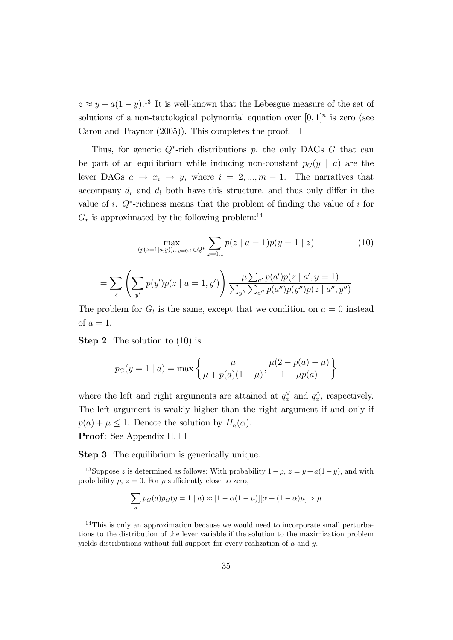$z \approx y + a(1 - y)^{13}$  It is well-known that the Lebesgue measure of the set of solutions of a non-tautological polynomial equation over  $[0,1]^n$  is zero (see Caron and Traynor (2005)). This completes the proof.  $\Box$ 

Thus, for generic  $Q^*$ -rich distributions p, the only DAGs G that can be part of an equilibrium while inducing non-constant  $p_G(y \mid a)$  are the lever DAGs  $a \rightarrow x_i \rightarrow y$ , where  $i = 2, ..., m - 1$ . The narratives that accompany  $d_r$  and  $d_l$  both have this structure, and thus only differ in the value of *i*.  $Q^*$ -richness means that the problem of finding the value of *i* for  $G_r$  is approximated by the following problem:<sup>14</sup>

$$
\max_{(p(z=1|a,y))_{a,y=0,1}\in Q^*} \sum_{z=0,1} p(z \mid a=1)p(y=1 \mid z)
$$
 (10)

$$
= \sum_{z} \left( \sum_{y'} p(y')p(z \mid a = 1, y') \right) \frac{\mu \sum_{a'} p(a')p(z \mid a', y = 1)}{\sum_{y''} \sum_{a''} p(a'')p(y'')p(z \mid a'', y'')}
$$

The problem for  $G_l$  is the same, except that we condition on  $a = 0$  instead of  $a=1$ .

Step 2: The solution to (10) is

$$
p_G(y = 1 | a) = \max \left\{ \frac{\mu}{\mu + p(a)(1 - \mu)}, \frac{\mu(2 - p(a) - \mu)}{1 - \mu p(a)} \right\}
$$

where the left and right arguments are attained at  $q_a^{\vee}$  and  $q_a^{\wedge}$ , respectively. The left argument is weakly higher than the right argument if and only if  $p(a) + \mu \leq 1$ . Denote the solution by  $H_a(\alpha)$ .

Proof: See Appendix II. □

Step 3: The equilibrium is generically unique.

$$
\sum_{a} p_G(a) p_G(y = 1 | a) \approx [1 - \alpha(1 - \mu)][\alpha + (1 - \alpha)\mu] > \mu
$$

<sup>&</sup>lt;sup>13</sup>Suppose z is determined as follows: With probability  $1 - \rho$ ,  $z = y + a(1 - y)$ , and with probability  $\rho$ ,  $z = 0$ . For  $\rho$  sufficiently close to zero,

<sup>&</sup>lt;sup>14</sup>This is only an approximation because we would need to incorporate small perturbations to the distribution of the lever variable if the solution to the maximization problem yields distributions without full support for every realization of a and y.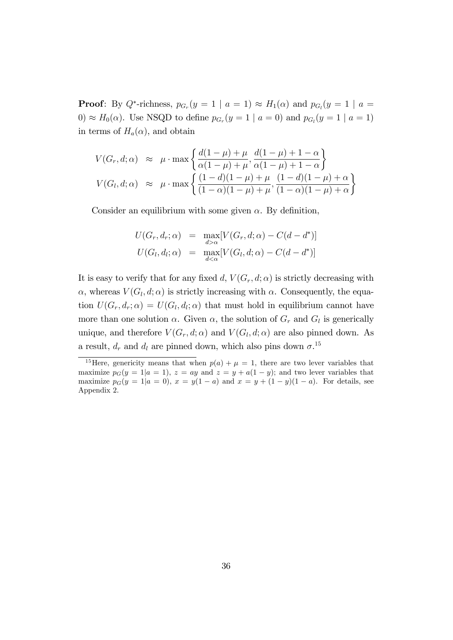**Proof**: By Q<sup>\*</sup>-richness,  $p_{G_r}(y = 1 | a = 1) \approx H_1(\alpha)$  and  $p_{G_l}(y = 1 | a = 1)$  $(0) \approx H_0(\alpha)$ . Use NSQD to define  $p_{G_r}(y=1 \mid a=0)$  and  $p_{G_l}(y=1 \mid a=1)$ in terms of  $H_a(\alpha)$ , and obtain

$$
V(G_r, d; \alpha) \approx \mu \cdot \max \left\{ \frac{d(1-\mu)+\mu}{\alpha(1-\mu)+\mu}, \frac{d(1-\mu)+1-\alpha}{\alpha(1-\mu)+1-\alpha} \right\}
$$
  

$$
V(G_l, d; \alpha) \approx \mu \cdot \max \left\{ \frac{(1-d)(1-\mu)+\mu}{(1-\alpha)(1-\mu)+\mu}, \frac{(1-d)(1-\mu)+\alpha}{(1-\alpha)(1-\mu)+\alpha} \right\}
$$

Consider an equilibrium with some given  $\alpha$ . By definition,

$$
U(G_r, d_r; \alpha) = \max_{d > \alpha} [V(G_r, d; \alpha) - C(d - d^*)]
$$
  

$$
U(G_l, d_l; \alpha) = \max_{d < \alpha} [V(G_l, d; \alpha) - C(d - d^*)]
$$

It is easy to verify that for any fixed d,  $V(G_r, d; \alpha)$  is strictly decreasing with  $\alpha$ , whereas  $V(G_l, d; \alpha)$  is strictly increasing with  $\alpha$ . Consequently, the equation  $U(G_r, d_r; \alpha) = U(G_l, d_l; \alpha)$  that must hold in equilibrium cannot have more than one solution  $\alpha$ . Given  $\alpha$ , the solution of  $G_r$  and  $G_l$  is generically unique, and therefore  $V(G_r, d; \alpha)$  and  $V(G_l, d; \alpha)$  are also pinned down. As a result,  $d_r$  and  $d_l$  are pinned down, which also pins down  $\sigma$ .<sup>15</sup>

<sup>&</sup>lt;sup>15</sup>Here, genericity means that when  $p(a) + \mu = 1$ , there are two lever variables that maximize  $p_G(y = 1 | a = 1)$ ,  $z = ay$  and  $z = y + a(1 - y)$ ; and two lever variables that maximize  $p_G(y = 1|a = 0)$ ,  $x = y(1 - a)$  and  $x = y + (1 - y)(1 - a)$ . For details, see Appendix 2.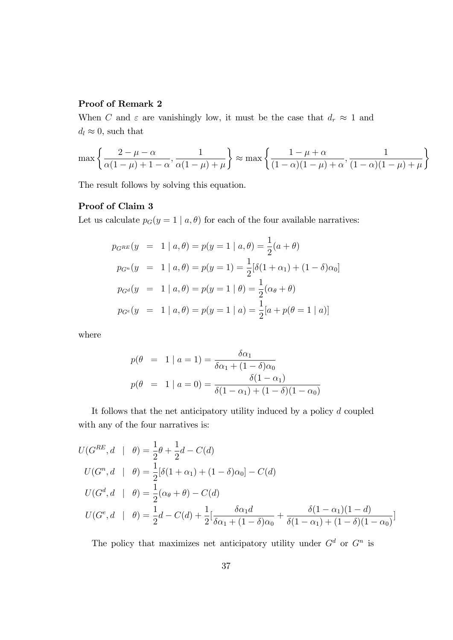### Proof of Remark 2

When C and  $\varepsilon$  are vanishingly low, it must be the case that  $d_r \approx 1$  and  $d_l \approx 0$ , such that

$$
\max\left\{\frac{2-\mu-\alpha}{\alpha(1-\mu)+1-\alpha},\frac{1}{\alpha(1-\mu)+\mu}\right\} \approx \max\left\{\frac{1-\mu+\alpha}{(1-\alpha)(1-\mu)+\alpha},\frac{1}{(1-\alpha)(1-\mu)+\mu}\right\}
$$

The result follows by solving this equation.

### Proof of Claim 3

Let us calculate  $p_G(y = 1 | a, \theta)$  for each of the four available narratives:

$$
p_{G^{RE}}(y = 1 | a, \theta) = p(y = 1 | a, \theta) = \frac{1}{2}(a + \theta)
$$
  
\n
$$
p_{G^n}(y = 1 | a, \theta) = p(y = 1) = \frac{1}{2}[\delta(1 + \alpha_1) + (1 - \delta)\alpha_0]
$$
  
\n
$$
p_{G^d}(y = 1 | a, \theta) = p(y = 1 | \theta) = \frac{1}{2}(\alpha_\theta + \theta)
$$
  
\n
$$
p_{G^e}(y = 1 | a, \theta) = p(y = 1 | a) = \frac{1}{2}[a + p(\theta = 1 | a)]
$$

where

$$
p(\theta = 1 | a = 1) = \frac{\delta \alpha_1}{\delta \alpha_1 + (1 - \delta) \alpha_0}
$$
  

$$
p(\theta = 1 | a = 0) = \frac{\delta (1 - \alpha_1)}{\delta (1 - \alpha_1) + (1 - \delta) (1 - \alpha_0)}
$$

It follows that the net anticipatory utility induced by a policy d coupled with any of the four narratives is:

$$
U(G^{RE}, d \mid \theta) = \frac{1}{2}\theta + \frac{1}{2}d - C(d)
$$
  
\n
$$
U(G^{R}, d \mid \theta) = \frac{1}{2}[\delta(1 + \alpha_1) + (1 - \delta)\alpha_0] - C(d)
$$
  
\n
$$
U(G^{d}, d \mid \theta) = \frac{1}{2}(\alpha_{\theta} + \theta) - C(d)
$$
  
\n
$$
U(G^{e}, d \mid \theta) = \frac{1}{2}d - C(d) + \frac{1}{2}[\frac{\delta\alpha_1 d}{\delta\alpha_1 + (1 - \delta)\alpha_0} + \frac{\delta(1 - \alpha_1)(1 - d)}{\delta(1 - \alpha_1) + (1 - \delta)(1 - \alpha_0)}]
$$

The policy that maximizes net anticipatory utility under  $G<sup>d</sup>$  or  $G<sup>n</sup>$  is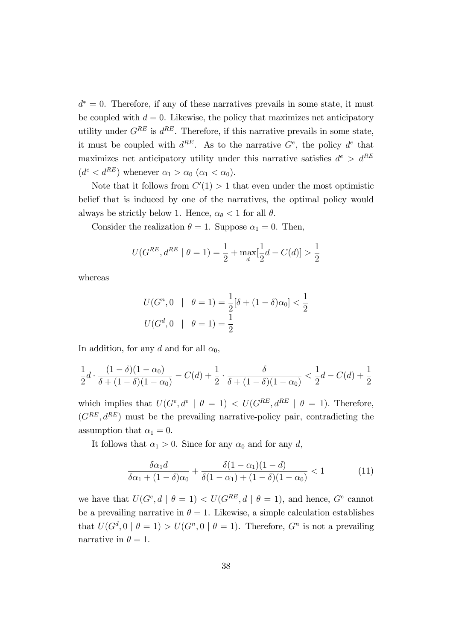$d^* = 0$ . Therefore, if any of these narratives prevails in some state, it must be coupled with  $d = 0$ . Likewise, the policy that maximizes net anticipatory utility under  $G^{RE}$  is  $d^{RE}$ . Therefore, if this narrative prevails in some state, it must be coupled with  $d^{RE}$ . As to the narrative  $G^e$ , the policy  $d^e$  that maximizes net anticipatory utility under this narrative satisfies  $d^e > d^{RE}$  $(d^e < d^{RE})$  whenever  $\alpha_1 > \alpha_0$   $(\alpha_1 < \alpha_0)$ .

Note that it follows from  $C'(1) > 1$  that even under the most optimistic belief that is induced by one of the narratives, the optimal policy would always be strictly below 1. Hence,  $\alpha_{\theta} < 1$  for all  $\theta$ .

Consider the realization  $\theta = 1$ . Suppose  $\alpha_1 = 0$ . Then,

$$
U(G^{RE}, d^{RE} | \theta = 1) = \frac{1}{2} + \max_{d} [\frac{1}{2}d - C(d)] > \frac{1}{2}
$$

whereas

$$
U(Gn, 0 \mid \theta = 1) = \frac{1}{2} [\delta + (1 - \delta)\alpha_0] < \frac{1}{2}
$$
  

$$
U(Gd, 0 \mid \theta = 1) = \frac{1}{2}
$$

In addition, for any d and for all  $\alpha_0$ ,

$$
\frac{1}{2}d \cdot \frac{(1-\delta)(1-\alpha_0)}{\delta + (1-\delta)(1-\alpha_0)} - C(d) + \frac{1}{2} \cdot \frac{\delta}{\delta + (1-\delta)(1-\alpha_0)} < \frac{1}{2}d - C(d) + \frac{1}{2}
$$

which implies that  $U(G^e, d^e | \theta = 1) < U(G^{RE}, d^{RE} | \theta = 1)$ . Therefore,  $(G^{RE}, d^{RE})$  must be the prevailing narrative-policy pair, contradicting the assumption that  $\alpha_1 = 0$ .

It follows that  $\alpha_1 > 0$ . Since for any  $\alpha_0$  and for any d,

$$
\frac{\delta \alpha_1 d}{\delta \alpha_1 + (1 - \delta) \alpha_0} + \frac{\delta (1 - \alpha_1)(1 - d)}{\delta (1 - \alpha_1) + (1 - \delta)(1 - \alpha_0)} < 1 \tag{11}
$$

we have that  $U(G^e, d \mid \theta = 1) < U(G^{RE}, d \mid \theta = 1)$ , and hence,  $G^e$  cannot be a prevailing narrative in  $\theta = 1$ . Likewise, a simple calculation establishes that  $U(G^d, 0 | \theta = 1) > U(G^n, 0 | \theta = 1)$ . Therefore,  $G^n$  is not a prevailing narrative in  $\theta = 1$ .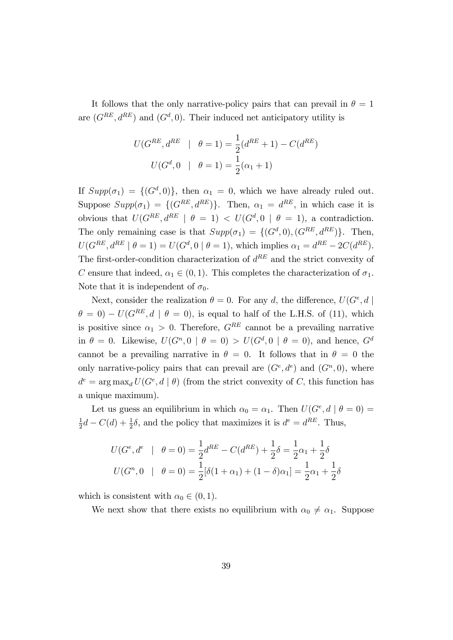It follows that the only narrative-policy pairs that can prevail in  $\theta = 1$ are  $(G^{RE}, d^{RE})$  and  $(G^d, 0)$ . Their induced net anticipatory utility is

$$
U(G^{RE}, d^{RE} \mid \theta = 1) = \frac{1}{2}(d^{RE} + 1) - C(d^{RE})
$$

$$
U(G^d, 0 \mid \theta = 1) = \frac{1}{2}(\alpha_1 + 1)
$$

If  $Supp(\sigma_1) = \{ (G^d, 0) \}$ , then  $\alpha_1 = 0$ , which we have already ruled out. Suppose  $Supp(\sigma_1) = \{ (G^{RE}, d^{RE}) \}.$  Then,  $\alpha_1 = d^{RE}$ , in which case it is obvious that  $U(G^{RE}, d^{RE} | \theta = 1) < U(G^d, 0 | \theta = 1)$ , a contradiction. The only remaining case is that  $Supp(\sigma_1) = \{(G^d, 0), (G^{RE}, d^{RE})\}$ . Then,  $U(G^{RE}, d^{RE} | \theta = 1) = U(G^d, 0 | \theta = 1)$ , which implies  $\alpha_1 = d^{RE} - 2C(d^{RE})$ . The first-order-condition characterization of  $d^{RE}$  and the strict convexity of C ensure that indeed,  $\alpha_1 \in (0, 1)$ . This completes the characterization of  $\sigma_1$ . Note that it is independent of  $\sigma_0$ .

Next, consider the realization  $\theta = 0$ . For any d, the difference,  $U(G^e, d)$  $\theta = 0$ ) –  $U(G^{RE}, d \mid \theta = 0)$ , is equal to half of the L.H.S. of (11), which is positive since  $\alpha_1 > 0$ . Therefore,  $G^{RE}$  cannot be a prevailing narrative in  $\theta = 0$ . Likewise,  $U(G^n, 0 | \theta = 0) > U(G^d, 0 | \theta = 0)$ , and hence,  $G^d$ cannot be a prevailing narrative in  $\theta = 0$ . It follows that in  $\theta = 0$  the only narrative-policy pairs that can prevail are  $(G^e, d^e)$  and  $(G^n, 0)$ , where  $d^e = \arg \max_d U(G^e, d \mid \theta)$  (from the strict convexity of C, this function has a unique maximum).

Let us guess an equilibrium in which  $\alpha_0 = \alpha_1$ . Then  $U(G^e, d \mid \theta = 0)$ 1  $\frac{1}{2}d - C(d) + \frac{1}{2}\delta$ , and the policy that maximizes it is  $d^e = d^{RE}$ . Thus,

$$
U(G^e, d^e \mid \theta = 0) = \frac{1}{2}d^{RE} - C(d^{RE}) + \frac{1}{2}\delta = \frac{1}{2}\alpha_1 + \frac{1}{2}\delta
$$
  

$$
U(G^n, 0 \mid \theta = 0) = \frac{1}{2}[\delta(1 + \alpha_1) + (1 - \delta)\alpha_1] = \frac{1}{2}\alpha_1 + \frac{1}{2}\delta
$$

which is consistent with  $\alpha_0 \in (0, 1)$ .

We next show that there exists no equilibrium with  $\alpha_0 \neq \alpha_1$ . Suppose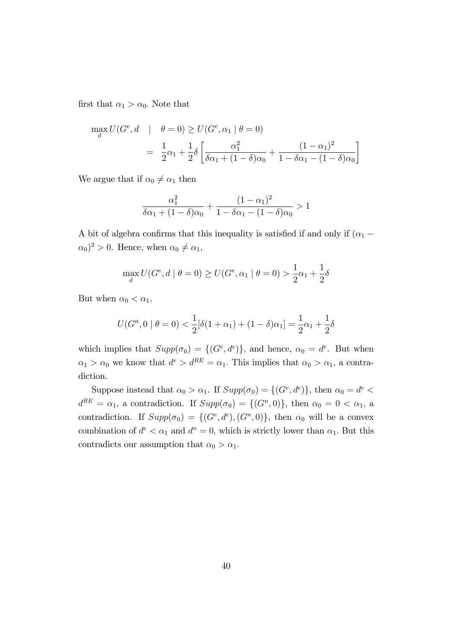first that  $\alpha_1 > \alpha_0$ . Note that

$$
\max_{d} U(G^e, d \mid \theta = 0) \ge U(G^e, \alpha_1 | \theta = 0)
$$
  
= 
$$
\frac{1}{2}\alpha_1 + \frac{1}{2}\delta \left[ \frac{\alpha_1^2}{\delta \alpha_1 + (1 - \delta)\alpha_0} + \frac{(1 - \alpha_1)^2}{1 - \delta \alpha_1 - (1 - \delta)\alpha_0} \right]
$$

We argue that if  $\alpha_0 \neq \alpha_1$  then

$$
\frac{\alpha_1^2}{\delta \alpha_1 + (1 - \delta)\alpha_0} + \frac{(1 - \alpha_1)^2}{1 - \delta \alpha_1 - (1 - \delta)\alpha_0} > 1
$$

A bit of algebra confirms that this inequality is satisfied if and only if  $(\alpha_1 (\alpha_0)^2 > 0$ . Hence, when  $\alpha_0 \neq \alpha_1$ ,

$$
\max_{d} U(G^e, d \mid \theta = 0) \ge U(G^e, \alpha_1 \mid \theta = 0) > \frac{1}{2}\alpha_1 + \frac{1}{2}\delta
$$

But when  $\alpha_0 < \alpha_1$ ,

$$
U(G^{n}, 0 | \theta = 0) < \frac{1}{2} [\delta(1 + \alpha_{1}) + (1 - \delta)\alpha_{1}] = \frac{1}{2}\alpha_{1} + \frac{1}{2}\delta
$$

which implies that  $Supp(\sigma_0) = \{(G^e, d^e)\}\$ , and hence,  $\alpha_0 = d^e$ . But when  $\alpha_1 > \alpha_0$  we know that  $d^e > d^{RE} = \alpha_1$ . This implies that  $\alpha_0 > \alpha_1$ , a contradiction.

Suppose instead that  $\alpha_0 > \alpha_1$ . If  $Supp(\sigma_0) = \{(G^e, d^e)\}\$ , then  $\alpha_0 = d^e$  $d^{RE} = \alpha_1$ , a contradiction. If  $Supp(\sigma_0) = \{(G^n, 0)\}\$ , then  $\alpha_0 = 0 < \alpha_1$ , a contradiction. If  $Supp(\sigma_0) = \{ (G^e, d^e), (G^n, 0) \}$ , then  $\alpha_0$  will be a convex combination of  $d^e < \alpha_1$  and  $d^h = 0$ , which is strictly lower than  $\alpha_1$ . But this contradicts our assumption that  $\alpha_0 > \alpha_1$ .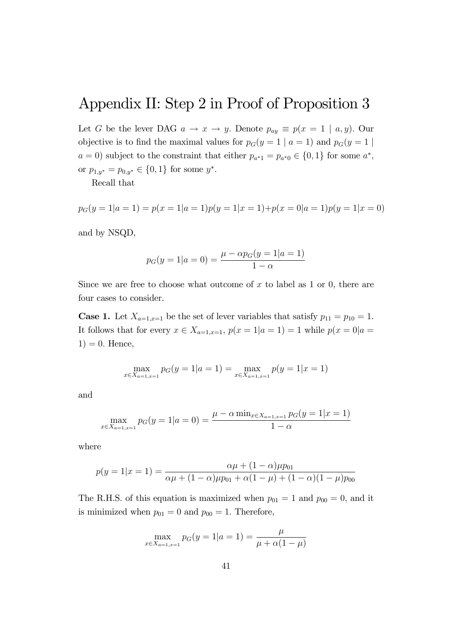# Appendix II: Step 2 in Proof of Proposition 3

Let G be the lever DAG  $a \to x \to y$ . Denote  $p_{ay} \equiv p(x = 1 | a, y)$ . Our objective is to find the maximal values for  $p_G(y = 1 | a = 1)$  and  $p_G(y = 1 |$  $a = 0$ ) subject to the constraint that either  $p_{a^*1} = p_{a^*0} \in \{0, 1\}$  for some  $a^*$ , or  $p_{1,y^*} = p_{0,y^*} \in \{0,1\}$  for some  $y^*$ .

Recall that

$$
p_G(y = 1 | a = 1) = p(x = 1 | a = 1)p(y = 1 | x = 1) + p(x = 0 | a = 1)p(y = 1 | x = 0)
$$

and by NSQD,

$$
p_G(y = 1 | a = 0) = \frac{\mu - \alpha p_G(y = 1 | a = 1)}{1 - \alpha}
$$

Since we are free to choose what outcome of  $x$  to label as 1 or 0, there are four cases to consider.

**Case 1.** Let  $X_{a=1,x=1}$  be the set of lever variables that satisfy  $p_{11} = p_{10} = 1$ . It follows that for every  $x \in X_{a=1,x=1}$ ,  $p(x = 1|a = 1) = 1$  while  $p(x = 0|a = 1)$  $1) = 0.$  Hence,

$$
\max_{x \in X_{a=1,x=1}} p_G(y=1|a=1) = \max_{x \in X_{a=1,x=1}} p(y=1|x=1)
$$

and

$$
\max_{x \in X_{a=1,x=1}} p_G(y=1|a=0) = \frac{\mu - \alpha \min_{x \in X_{a=1,x=1}} p_G(y=1|x=1)}{1-\alpha}
$$

where

$$
p(y = 1|x = 1) = \frac{\alpha\mu + (1 - \alpha)\mu p_{01}}{\alpha\mu + (1 - \alpha)\mu p_{01} + \alpha(1 - \mu) + (1 - \alpha)(1 - \mu)p_{00}}
$$

The R.H.S. of this equation is maximized when  $p_{01} = 1$  and  $p_{00} = 0$ , and it is minimized when  $p_{01} = 0$  and  $p_{00} = 1$ . Therefore,

$$
\max_{x \in X_{a=1,x=1}} p_G(y=1|a=1) = \frac{\mu}{\mu + \alpha(1-\mu)}
$$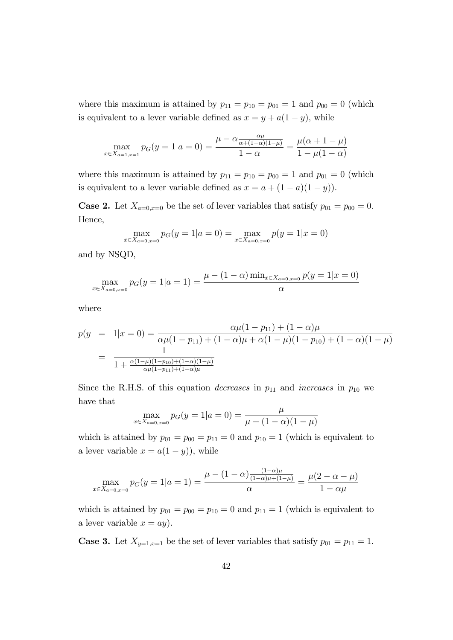where this maximum is attained by  $p_{11} = p_{10} = p_{01} = 1$  and  $p_{00} = 0$  (which is equivalent to a lever variable defined as  $x = y + a(1 - y)$ , while

$$
\max_{x \in X_{a=1,x=1}} p_G(y=1|a=0) = \frac{\mu - \alpha \frac{\alpha \mu}{\alpha + (1-\alpha)(1-\mu)}}{1-\alpha} = \frac{\mu(\alpha+1-\mu)}{1-\mu(1-\alpha)}
$$

where this maximum is attained by  $p_{11} = p_{10} = p_{00} = 1$  and  $p_{01} = 0$  (which is equivalent to a lever variable defined as  $x = a + (1 - a)(1 - y)$ .

**Case 2.** Let  $X_{a=0,x=0}$  be the set of lever variables that satisfy  $p_{01} = p_{00} = 0$ . Hence,

$$
\max_{x \in X_{a=0, x=0}} p_G(y=1|a=0) = \max_{x \in X_{a=0, x=0}} p(y=1|x=0)
$$

and by NSQD,

$$
\max_{x \in X_{a=0, x=0}} p_G(y=1|a=1) = \frac{\mu - (1-\alpha) \min_{x \in X_{a=0, x=0}} p(y=1|x=0)}{\alpha}
$$

where

$$
p(y = 1|x = 0) = \frac{\alpha\mu(1 - p_{11}) + (1 - \alpha)\mu}{\alpha\mu(1 - p_{11}) + (1 - \alpha)\mu + \alpha(1 - \mu)(1 - p_{10}) + (1 - \alpha)(1 - \mu)}
$$
  
= 
$$
\frac{1}{1 + \frac{\alpha(1 - \mu)(1 - p_{10}) + (1 - \alpha)(1 - \mu)}{\alpha\mu(1 - p_{11}) + (1 - \alpha)\mu}}
$$

Since the R.H.S. of this equation *decreases* in  $p_{11}$  and *increases* in  $p_{10}$  we have that

$$
\max_{x \in X_{a=0, x=0}} p_G(y=1|a=0) = \frac{\mu}{\mu + (1-\alpha)(1-\mu)}
$$

which is attained by  $p_{01} = p_{00} = p_{11} = 0$  and  $p_{10} = 1$  (which is equivalent to a lever variable  $x = a(1 - y)$ , while

$$
\max_{x \in X_{a=0, x=0}} p_G(y=1|a=1) = \frac{\mu - (1-\alpha)\frac{(1-\alpha)\mu}{(1-\alpha)\mu + (1-\mu)}}{\alpha} = \frac{\mu(2-\alpha-\mu)}{1-\alpha\mu}
$$

which is attained by  $p_{01} = p_{00} = p_{10} = 0$  and  $p_{11} = 1$  (which is equivalent to a lever variable  $x = ay$ .

**Case 3.** Let  $X_{y=1,x=1}$  be the set of lever variables that satisfy  $p_{01} = p_{11} = 1$ .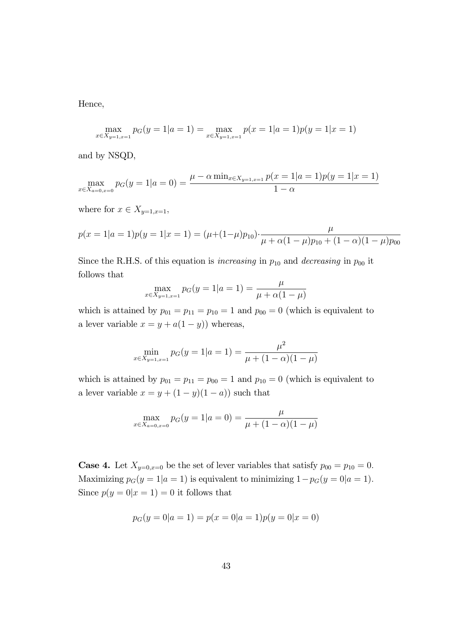Hence,

$$
\max_{x \in X_{y=1,x=1}} p_G(y=1|a=1) = \max_{x \in X_{y=1,x=1}} p(x=1|a=1)p(y=1|x=1)
$$

and by NSQD,

$$
\max_{x \in X_{a=0,x=0}} p_G(y=1|a=0) = \frac{\mu - \alpha \min_{x \in X_{y=1,x=1}} p(x=1|a=1)p(y=1|x=1)}{1-\alpha}
$$

where for  $x \in X_{y=1,x=1}$ ,

$$
p(x = 1|a = 1)p(y = 1|x = 1) = (\mu + (1 - \mu)p_{10}) \cdot \frac{\mu}{\mu + \alpha(1 - \mu)p_{10} + (1 - \alpha)(1 - \mu)p_{00}}
$$

Since the R.H.S. of this equation is *increasing* in  $p_{10}$  and *decreasing* in  $p_{00}$  it follows that

$$
\max_{x \in X_{y=1,x=1}} p_G(y=1|a=1) = \frac{\mu}{\mu + \alpha(1-\mu)}
$$

which is attained by  $p_{01} = p_{11} = p_{10} = 1$  and  $p_{00} = 0$  (which is equivalent to a lever variable  $x = y + a(1 - y)$  whereas,

$$
\min_{x \in X_{y=1,x=1}} p_G(y=1|a=1) = \frac{\mu^2}{\mu + (1-\alpha)(1-\mu)}
$$

which is attained by  $p_{01} = p_{11} = p_{00} = 1$  and  $p_{10} = 0$  (which is equivalent to a lever variable  $x = y + (1 - y)(1 - a)$  such that

$$
\max_{x \in X_{a=0, x=0}} p_G(y=1|a=0) = \frac{\mu}{\mu + (1-\alpha)(1-\mu)}
$$

**Case 4.** Let  $X_{y=0,x=0}$  be the set of lever variables that satisfy  $p_{00} = p_{10} = 0$ . Maximizing  $p_G(y = 1|a = 1)$  is equivalent to minimizing  $1-p_G(y = 0|a = 1)$ . Since  $p(y = 0|x = 1) = 0$  it follows that

$$
p_G(y = 0|a = 1) = p(x = 0|a = 1)p(y = 0|x = 0)
$$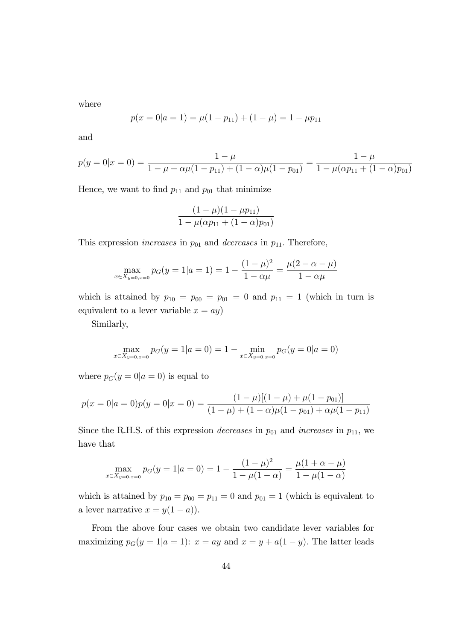where

$$
p(x = 0|a = 1) = \mu(1 - p_{11}) + (1 - \mu) = 1 - \mu p_{11}
$$

and

$$
p(y = 0|x = 0) = \frac{1 - \mu}{1 - \mu + \alpha\mu(1 - p_{11}) + (1 - \alpha)\mu(1 - p_{01})} = \frac{1 - \mu}{1 - \mu(\alpha p_{11} + (1 - \alpha)p_{01})}
$$

Hence, we want to find  $p_{11}$  and  $p_{01}$  that minimize

$$
\frac{(1-\mu)(1-\mu p_{11})}{1-\mu(\alpha p_{11}+(1-\alpha)p_{01})}
$$

This expression *increases* in  $p_{01}$  and *decreases* in  $p_{11}$ . Therefore,

$$
\max_{x \in X_{y=0, x=0}} p_G(y=1|a=1) = 1 - \frac{(1-\mu)^2}{1-\alpha\mu} = \frac{\mu(2-\alpha-\mu)}{1-\alpha\mu}
$$

which is attained by  $p_{10} = p_{00} = p_{01} = 0$  and  $p_{11} = 1$  (which in turn is equivalent to a lever variable  $x = ay$ )

Similarly,

$$
\max_{x \in X_{y=0, x=0}} p_G(y=1|a=0) = 1 - \min_{x \in X_{y=0, x=0}} p_G(y=0|a=0)
$$

where  $p_G(y=0|a=0)$  is equal to

$$
p(x = 0|a = 0)p(y = 0|x = 0) = \frac{(1 - \mu)[(1 - \mu) + \mu(1 - p_{01})]}{(1 - \mu) + (1 - \alpha)\mu(1 - p_{01}) + \alpha\mu(1 - p_{11})}
$$

Since the R.H.S. of this expression *decreases* in  $p_{01}$  and *increases* in  $p_{11}$ , we have that

$$
\max_{x \in X_{y=0,x=0}} p_G(y=1|a=0) = 1 - \frac{(1-\mu)^2}{1-\mu(1-\alpha)} = \frac{\mu(1+\alpha-\mu)}{1-\mu(1-\alpha)}
$$

which is attained by  $p_{10} = p_{00} = p_{11} = 0$  and  $p_{01} = 1$  (which is equivalent to a lever narrative  $x = y(1 - a)$ .

From the above four cases we obtain two candidate lever variables for maximizing  $p_G(y = 1|a = 1)$ :  $x = ay$  and  $x = y + a(1 - y)$ . The latter leads